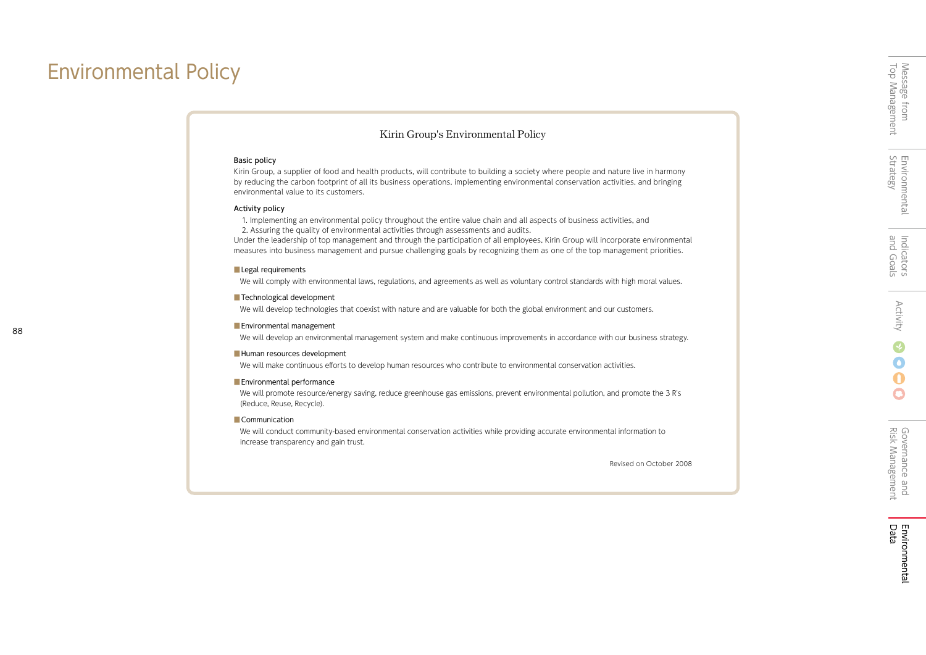# Environmental Policy

## Kirin Group's Environmental Policy

### Basic policy

Kirin Group, a supplier of food and health products, will contribute to building a society where people and nature live in harmony by reducing the carbon footprint of all its business operations, implementing environmental conservation activities, and bringing environmental value to its customers.

### Activity policy

1. Implementing an environmental policy throughout the entire value chain and all aspects of business activities, and

2. Assuring the quality of environmental activities through assessments and audits.

Under the leadership of top management and through the participation of all employees, Kirin Group will incorporate environmental measures into business management and pursue challenging goals by recognizing them as one of the top management priorities.

### **Legal requirements**

We will comply with environmental laws, regulations, and agreements as well as voluntary control standards with high moral values.

### ■ Technological development

We will develop technologies that coexist with nature and are valuable for both the global environment and our customers.

### ■ Environmental management

We will develop an environmental management system and make continuous improvements in accordance with our business strategy.

### ■ Human resources development

We will make continuous efforts to develop human resources who contribute to environmental conservation activities.

### ■ Environmental performance

We will promote resource/energy saving, reduce greenhouse gas emissions, prevent environmental pollution, and promote the 3 R's (Reduce, Reuse, Recycle).

### ■ Communication

We will conduct community-based environmental conservation activities while providing accurate environmental information to increase transparency and gain trust.

Revised on October 2008

O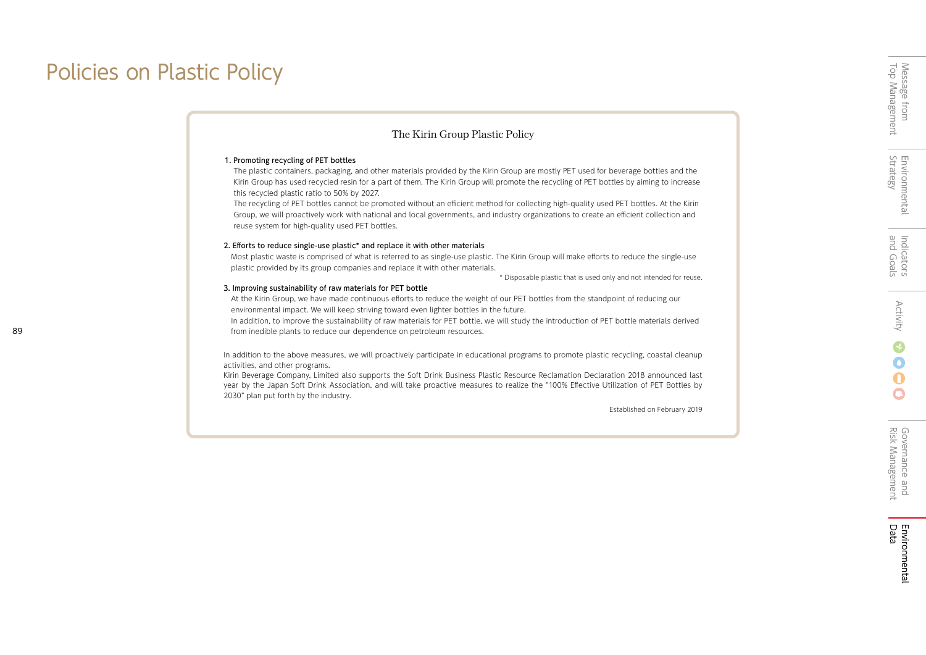# Policies on Plastic Policy

## The Kirin Group Plastic Policy

### 1. Promoting recycling of PET bottles

The plastic containers, packaging, and other materials provided by the Kirin Group are mostly PET used for beverage bottles and the Kirin Group has used recycled resin for a part of them. The Kirin Group will promote the recycling of PET bottles by aiming to increase this recycled plastic ratio to 50% by 2027.

The recycling of PET bottles cannot be promoted without an efficient method for collecting high-quality used PET bottles. At the Kirin Group, we will proactively work with national and local governments, and industry organizations to create an efficient collection and reuse system for high-quality used PET bottles.

#### 2. Efforts to reduce single-use plastic\* and replace it with other materials

Most plastic waste is comprised of what is referred to as single-use plastic. The Kirin Group will make efforts to reduce the single-use plastic provided by its group companies and replace it with other materials.

\* Disposable plastic that is used only and not intended for reuse.

#### 3. Improving sustainability of raw materials for PET bottle

At the Kirin Group, we have made continuous efforts to reduce the weight of our PET bottles from the standpoint of reducing our environmental impact. We will keep striving toward even lighter bottles in the future.

In addition, to improve the sustainability of raw materials for PET bottle, we will study the introduction of PET bottle materials derived from inedible plants to reduce our dependence on petroleum resources.

In addition to the above measures, we will proactively participate in educational programs to promote plastic recycling, coastal cleanup activities, and other programs.

Kirin Beverage Company, Limited also supports the Soft Drink Business Plastic Resource Reclamation Declaration 2018 announced last year by the Japan Soft Drink Association, and will take proactive measures to realize the "100% Effective Utilization of PET Bottles by 2030" plan put forth by the industry.

Established on February 2019

 $\bigcirc$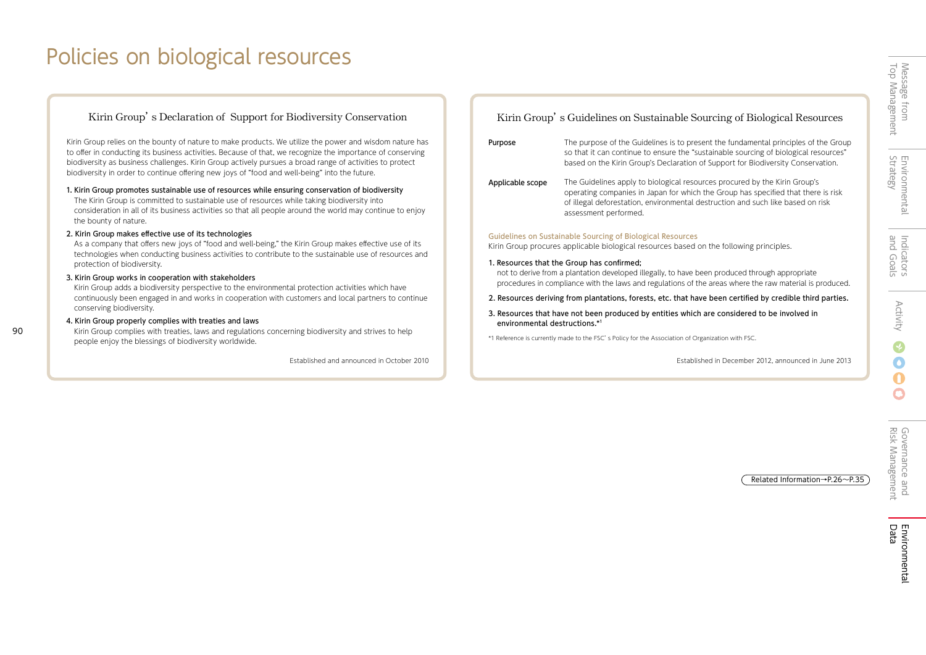# Policies on biological resources

## Kirin Group's Declaration of Support for Biodiversity Conservation

Kirin Group relies on the bounty of nature to make products. We utilize the power and wisdom nature has to offer in conducting its business activities. Because of that, we recognize the importance of conserving biodiversity as business challenges. Kirin Group actively pursues a broad range of activities to protect biodiversity in order to continue offering new joys of "food and well-being" into the future.

1. Kirin Group promotes sustainable use of resources while ensuring conservation of biodiversity The Kirin Group is committed to sustainable use of resources while taking biodiversity into consideration in all of its business activities so that all people around the world may continue to enjoy the bounty of nature.

### 2. Kirin Group makes effective use of its technologies

As a company that offers new joys of "food and well-being," the Kirin Group makes effective use of its technologies when conducting business activities to contribute to the sustainable use of resources and protection of biodiversity.

### 3. Kirin Group works in cooperation with stakeholders

Kirin Group adds a biodiversity perspective to the environmental protection activities which have continuously been engaged in and works in cooperation with customers and local partners to continue conserving biodiversity.

### 4. Kirin Group properly complies with treaties and laws

 $90$ 

Kirin Group complies with treaties, laws and regulations concerning biodiversity and strives to help people enjoy the blessings of biodiversity worldwide.

## Kirin Group's Guidelines on Sustainable Sourcing of Biological Resources

| Purpose | The purpose of the Guidelines is to present the fundamental principles of the Group  |
|---------|--------------------------------------------------------------------------------------|
|         | so that it can continue to ensure the "sustainable sourcing of biological resources" |
|         | based on the Kirin Group's Declaration of Support for Biodiversity Conservation.     |

The Guidelines apply to biological resources procured by the Kirin Group's operating companies in Japan for which the Group has specified that there is risk of illegal deforestation, environmental destruction and such like based on risk assessment performed. Applicable scope

### Guidelines on Sustainable Sourcing of Biological Resources

Kirin Group procures applicable biological resources based on the following principles.

### 1. Resources that the Group has confirmed;

not to derive from a plantation developed illegally, to have been produced through appropriate procedures in compliance with the laws and regulations of the areas where the raw material is produced.

### 2. Resources deriving from plantations, forests, etc. that have been certified by credible third parties.

### 3. Resources that have not been produced by entities which are considered to be involved in environmental destructions.\*<sup>1</sup>

\*1 Reference is currently made to the FSC's Policy for the Association of Organization with FSC.

Established and announced in October 2010 Established in December 2012, announced in June 2013

Related Information→P.26~P.35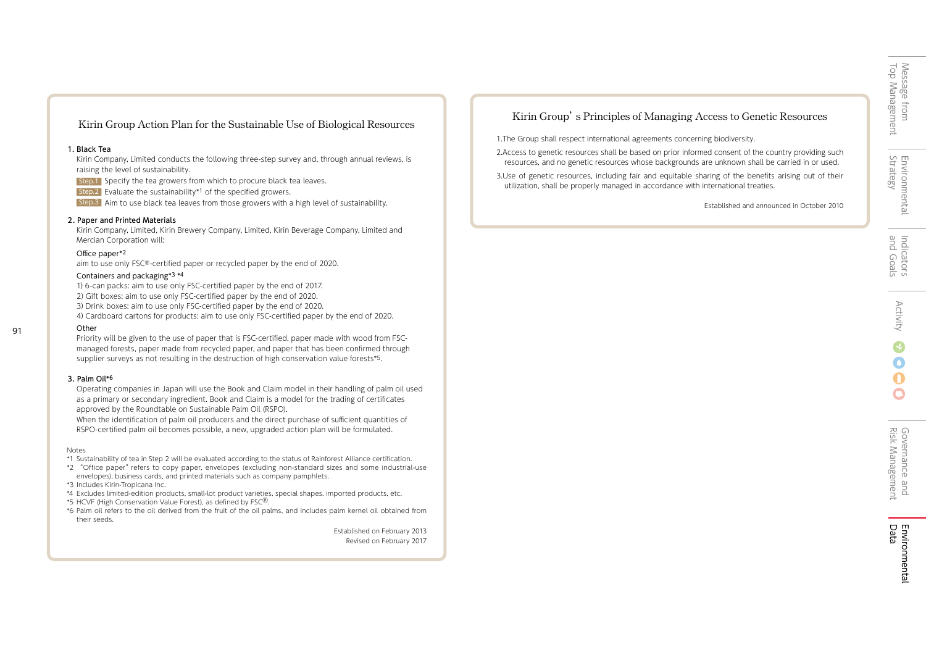Environmental<br>Strategy Environmental

and Goals

Indicators<br>and Goals

## Kirin Group Action Plan for the Sustainable Use of Biological Resources

### 1.Black Tea

Kirin Company, Limited conducts the following three-step survey and, through annual reviews, is raising the level of sustainability.

Step.1 Specify the tea growers from which to procure black tea leaves.

Step.2 Evaluate the sustainability\*1 of the specified growers.

Step.3 Aim to use black tea leaves from those growers with a high level of sustainability.

### 2.Paper and Printed Materials

Kirin Company, Limited, Kirin Brewery Company, Limited, Kirin Beverage Company, Limited and Mercian Corporation will:

### Office paper\*2

aim to use only FSC®-certified paper or recycled paper by the end of 2020.

### Containers and packaging\*3 \*4

1)6-can packs: aim to use only FSC-certified paper by the end of 2017. 2)Gift boxes: aim to use only FSC-certified paper by the end of 2020. 3) Drink boxes: aim to use only FSC-certified paper by the end of 2020. 4)Cardboard cartons for products: aim to use only FSC-certified paper by the end of 2020.

91

Priority will be given to the use of paper that is FSC-certified, paper made with wood from FSCmanaged forests, paper made from recycled paper, and paper that has been confirmed through supplier surveys as not resulting in the destruction of high conservation value forests\*5.

### 3.Palm Oil\*6

**Other** 

Operating companies in Japan will use the Book and Claim model in their handling of palm oil used as a primary or secondary ingredient. Book and Claim is a model for the trading of certificates approved by the Roundtable on Sustainable Palm Oil (RSPO).

When the identification of palm oil producers and the direct purchase of sufficient quantities of RSPO-certified palm oil becomes possible, a new, upgraded action plan will be formulated.

### **Notes**

- \*1 Sustainability of tea in Step 2 will be evaluated according to the status of Rainforest Alliance certification.
- \*2 "Office paper"refers to copy paper, envelopes (excluding non-standard sizes and some industrial-use envelopes), business cards, and printed materials such as company pamphlets.
- \*3 Includes Kirin-Tropicana Inc.
- \*4 Excludes limited-edition products, small-lot product varieties, special shapes, imported products, etc.
- \*5 HCVF (High Conservation Value Forest), as defined by FSC®.
- \*6 Palm oil refers to the oil derived from the fruit of the oil palms, and includes palm kernel oil obtained from their seeds.

Established on February 2013 Revised on February 2017

## Kirin Group's Principles of Managing Access to Genetic Resources

1.The Group shall respect international agreements concerning biodiversity.

2.Access to genetic resources shall be based on prior informed consent of the country providing such resources, and no genetic resources whose backgrounds are unknown shall be carried in or used.

3.Use of genetic resources, including fair and equitable sharing of the benefits arising out of their utilization, shall be properly managed in accordance with international treaties.

Established and announced in October 2010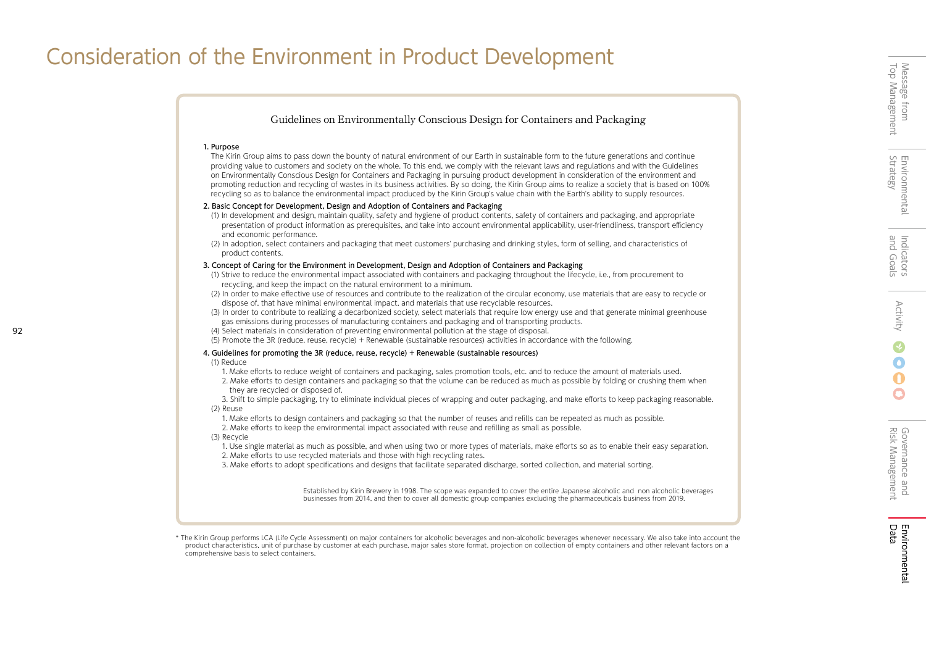$\bullet$ 

# Consideration of the Environment in Product Development



\* The Kirin Group performs LCA (Life Cycle Assessment) on major containers for alcoholic beverages and non-alcoholic beverages whenever necessary. We also take into account the product characteristics, unit of purchase by customer at each purchase, major sales store format, projection on collection of empty containers and other relevant factors on a comprehensive basis to select containers.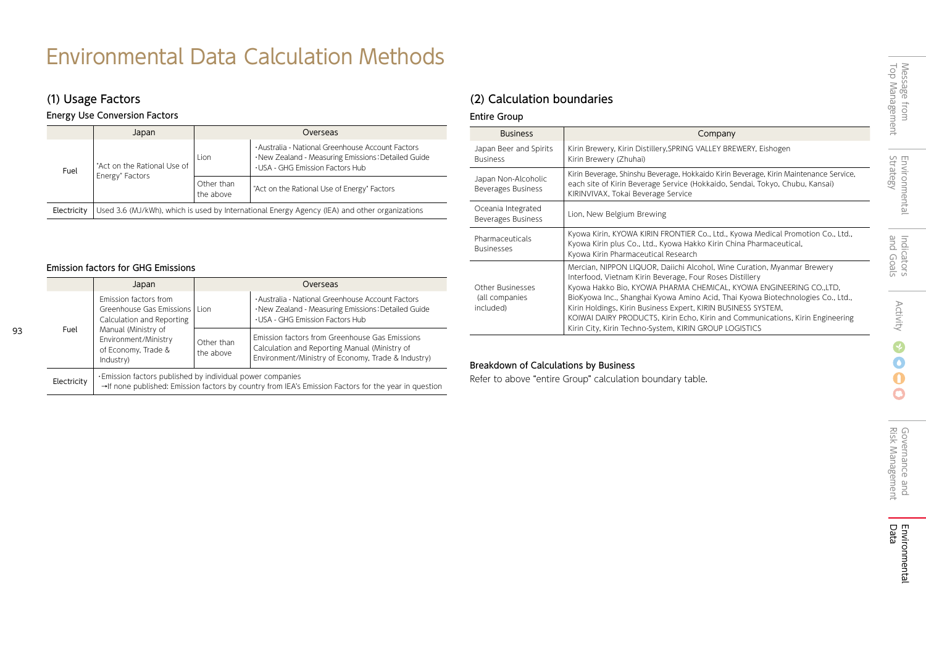# Environmental Data Calculation Methods

Energy Use Conversion Factors

|             | Japan                                                                                         |                         | Overseas                                                                                                                                    |  |  |  |
|-------------|-----------------------------------------------------------------------------------------------|-------------------------|---------------------------------------------------------------------------------------------------------------------------------------------|--|--|--|
| Fuel        | "Act on the Rational Use of<br>Energy" Factors                                                | <b>Lion</b>             | · Australia - National Greenhouse Account Factors<br>·New Zealand - Measuring Emissions: Detailed Guide<br>· USA - GHG Emission Factors Hub |  |  |  |
|             |                                                                                               | Other than<br>the above | "Act on the Rational Use of Energy" Factors                                                                                                 |  |  |  |
| Electricity | Used 3.6 (MJ/kWh), which is used by International Energy Agency (IEA) and other organizations |                         |                                                                                                                                             |  |  |  |

## Emission factors for GHG Emissions

93

|             | Japan                                                                                 | Overseas                                                                                                                                                           |                                                                                                                                                       |  |  |  |
|-------------|---------------------------------------------------------------------------------------|--------------------------------------------------------------------------------------------------------------------------------------------------------------------|-------------------------------------------------------------------------------------------------------------------------------------------------------|--|--|--|
| Fuel        | Emission factors from<br>Greenhouse Gas Emissions   Lion<br>Calculation and Reporting |                                                                                                                                                                    | · Australia - National Greenhouse Account Factors<br>·New Zealand - Measuring Emissions: Detailed Guide<br>. USA - GHG Emission Factors Hub           |  |  |  |
|             | Manual (Ministry of<br>Environment/Ministry<br>of Economy, Trade &<br>Industry)       | Other than<br>the above                                                                                                                                            | Emission factors from Greenhouse Gas Emissions<br>Calculation and Reporting Manual (Ministry of<br>Environment/Ministry of Economy, Trade & Industry) |  |  |  |
| Electricity |                                                                                       | . Emission factors published by individual power companies<br>→If none published: Emission factors by country from IEA's Emission Factors for the year in question |                                                                                                                                                       |  |  |  |

# (1) Usage Factors (2) Calculation boundaries

## Entire Group

| <b>Business</b>                                        | Company                                                                                                                                                                                                                                                                                                                                                                                                                                                                                                   |
|--------------------------------------------------------|-----------------------------------------------------------------------------------------------------------------------------------------------------------------------------------------------------------------------------------------------------------------------------------------------------------------------------------------------------------------------------------------------------------------------------------------------------------------------------------------------------------|
| Japan Beer and Spirits<br><b>Business</b>              | Kirin Brewery, Kirin Distillery, SPRING VALLEY BREWERY, Eishogen<br>Kirin Brewery (Zhuhai)                                                                                                                                                                                                                                                                                                                                                                                                                |
| Japan Non-Alcoholic<br>Beverages Business              | Kirin Beverage, Shinshu Beverage, Hokkaido Kirin Beverage, Kirin Maintenance Service,<br>each site of Kirin Beverage Service (Hokkaido, Sendai, Tokyo, Chubu, Kansai)<br>KIRINVIVAX, Tokai Beverage Service                                                                                                                                                                                                                                                                                               |
| Oceania Integrated<br><b>Beverages Business</b>        | Lion, New Belgium Brewing                                                                                                                                                                                                                                                                                                                                                                                                                                                                                 |
| Pharmaceuticals<br><b>Businesses</b>                   | Kyowa Kirin, KYOWA KIRIN FRONTIER Co., Ltd., Kyowa Medical Promotion Co., Ltd.,<br>Kyowa Kirin plus Co., Ltd., Kyowa Hakko Kirin China Pharmaceutical,<br>Kyowa Kirin Pharmaceutical Research                                                                                                                                                                                                                                                                                                             |
| <b>Other Businesses</b><br>(all companies<br>included) | Mercian, NIPPON LIQUOR, Daiichi Alcohol, Wine Curation, Myanmar Brewery<br>Interfood, Vietnam Kirin Beverage, Four Roses Distillery<br>Kyowa Hakko Bio, KYOWA PHARMA CHEMICAL, KYOWA ENGINEERING CO.,LTD,<br>BioKyowa Inc., Shanghai Kyowa Amino Acid, Thai Kyowa Biotechnologies Co., Ltd.,<br>Kirin Holdings, Kirin Business Expert, KIRIN BUSINESS SYSTEM,<br>KOIWAI DAIRY PRODUCTS, Kirin Echo, Kirin and Communications, Kirin Engineering<br>Kirin City, Kirin Techno-System, KIRIN GROUP LOGISTICS |

## Breakdown of Calculations by Business

Refer to above "entire Group" calculation boundary table.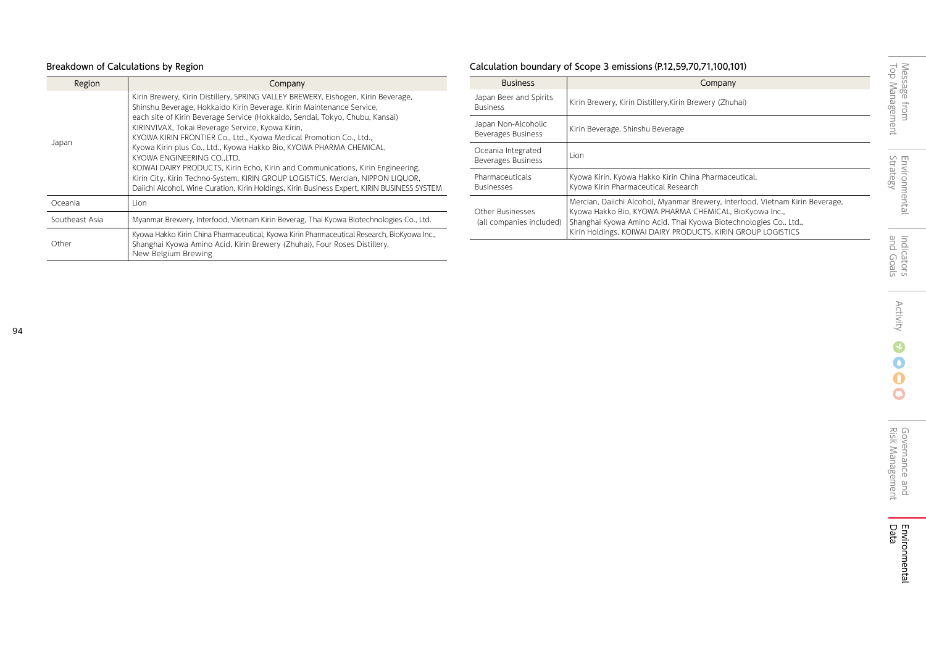# Breakdown of Calculations by Region

| Region         | Company                                                                                                                                                                                                                                                                                                                                                                                                                                                                                                                                                                                                                                                                                                                                          |
|----------------|--------------------------------------------------------------------------------------------------------------------------------------------------------------------------------------------------------------------------------------------------------------------------------------------------------------------------------------------------------------------------------------------------------------------------------------------------------------------------------------------------------------------------------------------------------------------------------------------------------------------------------------------------------------------------------------------------------------------------------------------------|
| Japan          | Kirin Brewery, Kirin Distillery, SPRING VALLEY BREWERY, Eishogen, Kirin Beverage,<br>Shinshu Beverage, Hokkaido Kirin Beverage, Kirin Maintenance Service,<br>each site of Kirin Beverage Service (Hokkaido, Sendai, Tokyo, Chubu, Kansai)<br>KIRINVIVAX, Tokai Beverage Service, Kyowa Kirin,<br>KYOWA KIRIN FRONTIER Co., Ltd., Kyowa Medical Promotion Co., Ltd.,<br>Kyowa Kirin plus Co., Ltd., Kyowa Hakko Bio, KYOWA PHARMA CHEMICAL,<br>KYOWA ENGINEERING CO., LTD,<br>KOIWAI DAIRY PRODUCTS, Kirin Echo, Kirin and Communications, Kirin Engineering,<br>Kirin City, Kirin Techno-System, KIRIN GROUP LOGISTICS, Mercian, NIPPON LIQUOR,<br>Daiichi Alcohol, Wine Curation, Kirin Holdings, Kirin Business Expert, KIRIN BUSINESS SYSTEM |
| Oceania        | Lion.                                                                                                                                                                                                                                                                                                                                                                                                                                                                                                                                                                                                                                                                                                                                            |
| Southeast Asia | Myanmar Brewery, Interfood, Vietnam Kirin Beverag, Thai Kyowa Biotechnologies Co., Ltd.                                                                                                                                                                                                                                                                                                                                                                                                                                                                                                                                                                                                                                                          |
| Other          | Kyowa Hakko Kirin China Pharmaceutical, Kyowa Kirin Pharmaceutical Research, BioKyowa Inc.,<br>Shanghai Kyowa Amino Acid, Kirin Brewery (Zhuhai), Four Roses Distillery,<br>New Belgium Brewing                                                                                                                                                                                                                                                                                                                                                                                                                                                                                                                                                  |

# Calculation boundary of Scope 3 emissions(P.12,59,70,71,100,101)

| <b>Business</b>                                     | Company                                                                                                                                                                                                                                                                     |
|-----------------------------------------------------|-----------------------------------------------------------------------------------------------------------------------------------------------------------------------------------------------------------------------------------------------------------------------------|
| Japan Beer and Spirits<br><b>Business</b>           | Kirin Brewery, Kirin Distillery, Kirin Brewery (Zhuhai)                                                                                                                                                                                                                     |
| Japan Non-Alcoholic<br>Beverages Business           | Kirin Beverage, Shinshu Beverage                                                                                                                                                                                                                                            |
| Oceania Integrated<br><b>Beverages Business</b>     | Lion                                                                                                                                                                                                                                                                        |
| Pharmaceuticals<br><b>Businesses</b>                | Kyowa Kirin, Kyowa Hakko Kirin China Pharmaceutical,<br>Kyowa Kirin Pharmaceutical Research                                                                                                                                                                                 |
| <b>Other Businesses</b><br>(all companies included) | Mercian, Daiichi Alcohol, Myanmar Brewery, Interfood, Vietnam Kirin Beverage,<br>Kyowa Hakko Bio, KYOWA PHARMA CHEMICAL, BioKyowa Inc.,<br>Shanghai Kyowa Amino Acid, Thai Kyowa Biotechnologies Co., Ltd.,<br>Kirin Holdings, KOIWAI DAIRY PRODUCTS, KIRIN GROUP LOGISTICS |

L.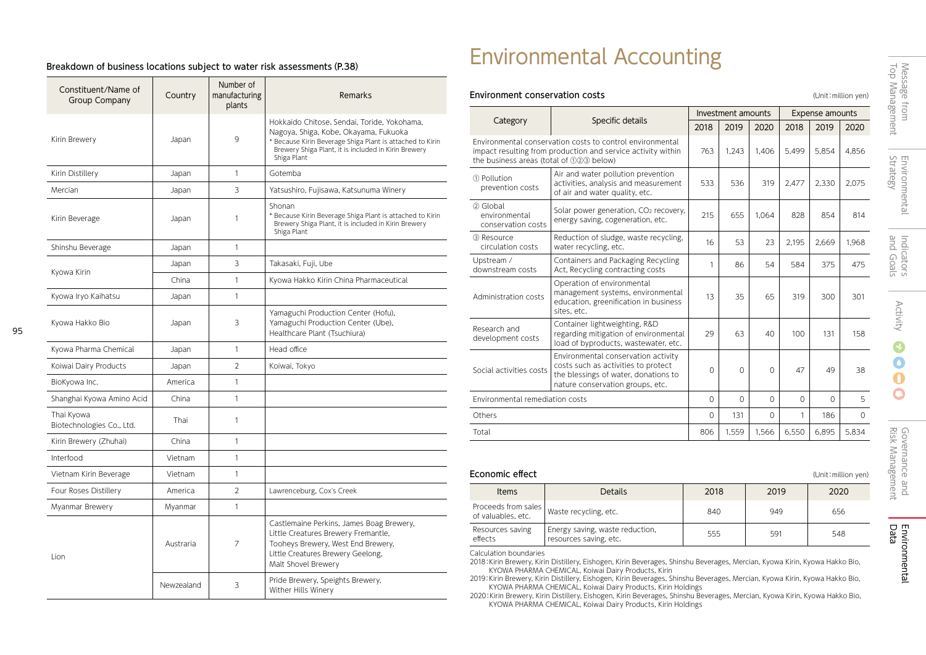## Breakdown of business locations subject to water risk assessments(P.38)

| Constituent/Name of<br><b>Group Company</b> | Country    | Number of<br>manufacturing<br>plants | Remarks                                                                                                                                                                                                                  |
|---------------------------------------------|------------|--------------------------------------|--------------------------------------------------------------------------------------------------------------------------------------------------------------------------------------------------------------------------|
| Kirin Brewery                               | Japan      | 9                                    | Hokkaido Chitose, Sendai, Toride, Yokohama,<br>Nagoya, Shiga, Kobe, Okayama, Fukuoka<br>* Because Kirin Beverage Shiga Plant is attached to Kirin<br>Brewery Shiga Plant, it is included in Kirin Brewery<br>Shiga Plant |
| Kirin Distillery                            | Japan      | 1                                    | Gotemba                                                                                                                                                                                                                  |
| Mercian                                     | Japan      | 3                                    | Yatsushiro, Fujisawa, Katsunuma Winery                                                                                                                                                                                   |
| Kirin Beverage                              | Japan      | 1                                    | Shonan<br>* Because Kirin Beverage Shiga Plant is attached to Kirin<br>Brewery Shiga Plant, it is included in Kirin Brewery<br>Shiga Plant                                                                               |
| Shinshu Beverage                            | Japan      | $\mathbf{1}$                         |                                                                                                                                                                                                                          |
|                                             | Japan      | 3                                    | Takasaki, Fuji, Ube                                                                                                                                                                                                      |
| Kyowa Kirin                                 | China      | $\mathbf{1}$                         | Kyowa Hakko Kirin China Pharmaceutical                                                                                                                                                                                   |
| Kyowa Iryo Kaihatsu                         | Japan      | $\mathbf{1}$                         |                                                                                                                                                                                                                          |
| Kyowa Hakko Bio                             | Japan      | 3                                    | Yamaguchi Production Center (Hofu),<br>Yamaguchi Production Center (Ube),<br>Healthcare Plant (Tsuchiura)                                                                                                                |
| Kyowa Pharma Chemical                       | Japan      | $\mathbf{1}$                         | Head office                                                                                                                                                                                                              |
| Koiwai Dairy Products                       | Japan      | $\overline{2}$                       | Koiwai, Tokyo                                                                                                                                                                                                            |
| BioKyowa Inc.                               | America    | $\mathbf{1}$                         |                                                                                                                                                                                                                          |
| Shanghai Kyowa Amino Acid                   | China      | $\mathbf{1}$                         |                                                                                                                                                                                                                          |
| Thai Kyowa<br>Biotechnologies Co., Ltd.     | Thai       | 1                                    |                                                                                                                                                                                                                          |
| Kirin Brewery (Zhuhai)                      | China      | $\mathbf{1}$                         |                                                                                                                                                                                                                          |
| Interfood                                   | Vietnam    | $\mathbf{1}$                         |                                                                                                                                                                                                                          |
| Vietnam Kirin Beverage                      | Vietnam    | $\mathbf{1}$                         |                                                                                                                                                                                                                          |
| Four Roses Distillery                       | America    | $\overline{2}$                       | Lawrenceburg, Cox's Creek                                                                                                                                                                                                |
| Myanmar Brewery                             | Myanmar    | $\mathbf{1}$                         |                                                                                                                                                                                                                          |
| Lion                                        | Austraria  | 7                                    | Castlemaine Perkins, James Boag Brewery,<br>Little Creatures Brewery Fremantle,<br>Tooheys Brewery, West End Brewery,<br>Little Creatures Brewery Geelong,<br>Malt Shovel Brewery                                        |
|                                             | Newzealand | 3                                    | Pride Brewery, Speights Brewery,<br>Wither Hills Winery                                                                                                                                                                  |

95

# Environmental Accounting

## Environment conservation costs and the conservation costs of the conservation yen) conservation  $y$ en)

|                                                                                                                                                                                   |                                                                                                                         |          | Investment amounts |          | <b>Expense amounts</b> |          |          |  |
|-----------------------------------------------------------------------------------------------------------------------------------------------------------------------------------|-------------------------------------------------------------------------------------------------------------------------|----------|--------------------|----------|------------------------|----------|----------|--|
| Category                                                                                                                                                                          | Specific details                                                                                                        | 2018     | 2019               | 2020     | 2018                   | 2019     | 2020     |  |
| Environmental conservation costs to control environmental<br>impact resulting from production and service activity within<br>the business areas (total of 123 below)              | 763                                                                                                                     | 1.243    | 1.406              | 5.499    | 5.854                  | 4.856    |          |  |
| 1 Pollution<br>prevention costs                                                                                                                                                   | Air and water pollution prevention<br>activities, analysis and measurement<br>of air and water quality, etc.            | 533      | 536                | 319      | 2.477                  | 2,330    | 2.075    |  |
| 2 Global<br>environmental<br>conservation costs                                                                                                                                   | Solar power generation, CO <sub>2</sub> recovery,<br>energy saving, cogeneration, etc.                                  |          | 655                | 1.064    | 828                    | 854      | 814      |  |
| 3) Resource<br>circulation costs                                                                                                                                                  | Reduction of sludge, waste recycling,<br>water recycling, etc.                                                          |          | 53                 | 23       | 2,195                  | 2,669    | 1,968    |  |
| Upstream /<br>downstream costs                                                                                                                                                    | Containers and Packaging Recycling<br>Act, Recycling contracting costs                                                  | 1        | 86                 | 54       | 584                    | 375      | 475      |  |
| Administration costs                                                                                                                                                              | Operation of environmental<br>management systems, environmental<br>education, greenification in business<br>sites, etc. |          | 35                 | 65       | 319                    | 300      | 301      |  |
| Research and<br>development costs                                                                                                                                                 | Container lightweighting, R&D<br>regarding mitigation of environmental<br>load of byproducts, wastewater, etc.          | 29       | 63                 | 40       | 100                    | 131      | 158      |  |
| Environmental conservation activity<br>costs such as activities to protect<br>Social activities costs<br>the blessings of water, donations to<br>nature conservation groups, etc. |                                                                                                                         | $\Omega$ | $\Omega$           | 0        | 47                     | 49       | 38       |  |
| Environmental remediation costs                                                                                                                                                   |                                                                                                                         |          | $\Omega$           | $\Omega$ | $\Omega$               | $\Omega$ | 5        |  |
| Others                                                                                                                                                                            |                                                                                                                         | $\Omega$ | 131                | $\Omega$ | 1                      | 186      | $\Omega$ |  |
| Total                                                                                                                                                                             |                                                                                                                         | 806      | 1.559              | 1.566    | 6.550                  | 6.895    | 5.834    |  |

| Economic effect<br>(Unit: million yen)                             |                                                           |      |      |      |  |  |  |
|--------------------------------------------------------------------|-----------------------------------------------------------|------|------|------|--|--|--|
| <b>Items</b>                                                       | <b>Details</b>                                            | 2018 | 2019 | 2020 |  |  |  |
| Proceeds from sales<br>Waste recycling, etc.<br>of valuables, etc. |                                                           | 840  | 949  | 656  |  |  |  |
| Resources saving<br>effects                                        | Energy saving, waste reduction,<br>resources saving, etc. | 555  | 591  | 548  |  |  |  |

Calculation boundaries

2018:Kirin Brewery, Kirin Distillery, Eishogen, Kirin Beverages, Shinshu Beverages, Mercian, Kyowa Kirin, Kyowa Hakko Bio, KYOWA PHARMA CHEMICAL, Koiwai Dairy Products, Kirin

2019:Kirin Brewery, Kirin Distillery, Eishogen, Kirin Beverages, Shinshu Beverages, Mercian, Kyowa Kirin, Kyowa Hakko Bio,

KYOWA PHARMA CHEMICAL, Koiwai Dairy Products, Kirin Holdings 2020:Kirin Brewery, Kirin Distillery, Eishogen, Kirin Beverages, Shinshu Beverages, Mercian, Kyowa Kirin, Kyowa Hakko Bio, KYOWA PHARMA CHEMICAL, Koiwai Dairy Products, Kirin Holdings

O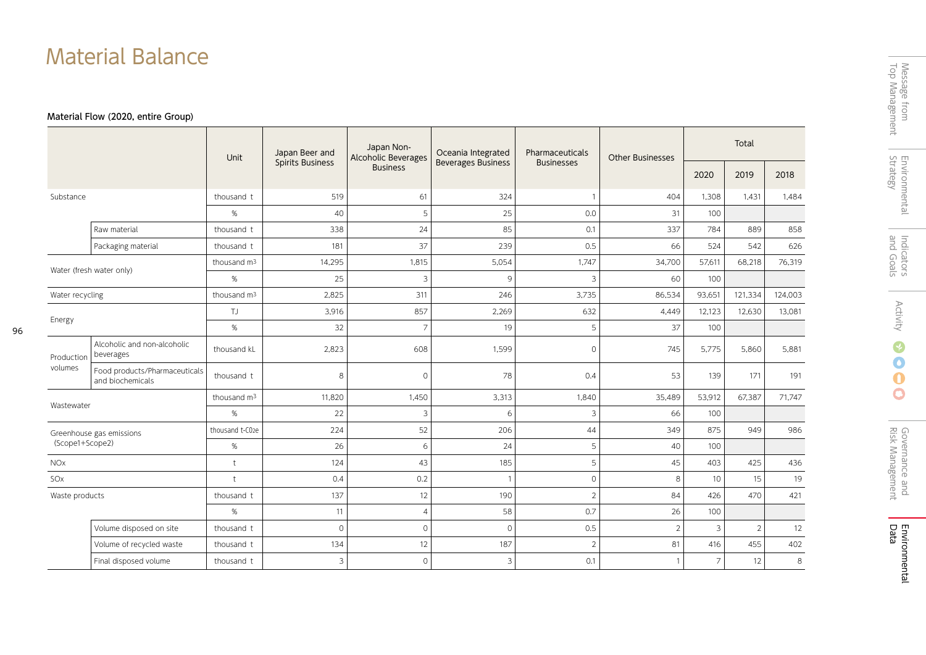# Material Balance

# Material Flow (2020, entire Group)

96

|                 |                                                   | Unit                    | Japan Beer and          | Japan Non-<br><b>Alcoholic Beverages</b> | Oceania Integrated        | Pharmaceuticals   | <b>Other Businesses</b> | Total             |                |         |
|-----------------|---------------------------------------------------|-------------------------|-------------------------|------------------------------------------|---------------------------|-------------------|-------------------------|-------------------|----------------|---------|
|                 |                                                   |                         | <b>Spirits Business</b> | <b>Business</b>                          | <b>Beverages Business</b> | <b>Businesses</b> |                         | 2020              | 2019           | 2018    |
| Substance       |                                                   | thousand t              | 519                     | 61                                       | 324                       |                   | 404                     | 1,308             | 1,431          | 1,484   |
|                 |                                                   | %                       | 40                      | 5                                        | 25                        | 0.0               | 31                      | 100               |                |         |
|                 | Raw material                                      | thousand t              | 338                     | 24                                       | 85                        | 0.1               | 337                     | 784               | 889            | 858     |
|                 | Packaging material                                | thousand t              | 181                     | 37                                       | 239                       | 0.5               | 66                      | 524               | 542            | 626     |
|                 | Water (fresh water only)                          | thousand m <sup>3</sup> | 14,295                  | 1,815                                    | 5,054                     | 1,747             | 34,700                  | 57,611            | 68,218         | 76,319  |
|                 |                                                   | %                       | 25                      | $\overline{\mathbf{3}}$                  | 9                         | 3                 | 60                      | 100               |                |         |
| Water recycling |                                                   | thousand m <sup>3</sup> | 2,825                   | 311                                      | 246                       | 3,735             | 86,534                  | 93,651<br>121,334 |                | 124,003 |
|                 |                                                   | TJ                      | 3,916                   | 857                                      | 2,269                     | 632               | 4,449                   | 12,123            | 12,630         | 13,081  |
|                 | Energy                                            |                         | 32                      | $\overline{7}$                           | 19                        | 5                 | 37                      | 100               |                |         |
| Production      | Alcoholic and non-alcoholic<br>beverages          | thousand kL             | 2,823                   | 608                                      | 1,599                     | $\circ$           | 745                     | 5,775             | 5,860          | 5,881   |
| volumes         | Food products/Pharmaceuticals<br>and biochemicals | thousand t              | 8                       | $\Omega$                                 | 78                        | 0.4               | 53                      | 139               | 171            | 191     |
| Wastewater      |                                                   | thousand m <sup>3</sup> | 11,820                  | 1,450                                    | 3,313                     | 1,840             | 35,489                  | 53,912            | 67,387         | 71,747  |
|                 |                                                   | %                       | 22                      | 3                                        | 6                         | 3                 | 66                      | 100               |                |         |
|                 | Greenhouse gas emissions                          | thousand t-C02e         | 224                     | 52                                       | 206                       | 44                | 349                     | 875               | 949            | 986     |
| (Scope1+Scope2) |                                                   | $\%$                    | 26                      | 6                                        | 24                        | 5                 | 40                      | 100               |                |         |
| <b>NOx</b>      |                                                   | $\ddot{\tau}$           | 124                     | 43                                       | 185                       | 5                 | 45                      | 403               | 425            | 436     |
| SO <sub>x</sub> |                                                   | $\ddagger$              | 0.4                     | 0.2                                      | $\mathbf{1}$              | $\circ$           | 8                       | 10                | 15             | 19      |
| Waste products  |                                                   | thousand t              | 137                     | 12                                       | 190                       | $\overline{2}$    | 84                      | 426               | 470            | 421     |
|                 |                                                   | %                       | 11                      | $\overline{4}$                           | 58                        | 0.7               | 26                      | 100               |                |         |
|                 | Volume disposed on site                           | thousand t              | $\circ$                 | $\circ$                                  | $\mathbf{O}$              | 0.5               | $\sqrt{2}$              | 3                 | $\overline{2}$ | 12      |
|                 | Volume of recycled waste                          | thousand t              | 134                     | 12                                       | 187                       | $\overline{2}$    | 81                      | 416               | 455            | 402     |
|                 | Final disposed volume                             | thousand t              | 3                       | $\circ$                                  | 3                         | 0.1               | $\mathbf{1}$            | $\overline{7}$    | 12             | 8       |

 $\overline{\phantom{0}}$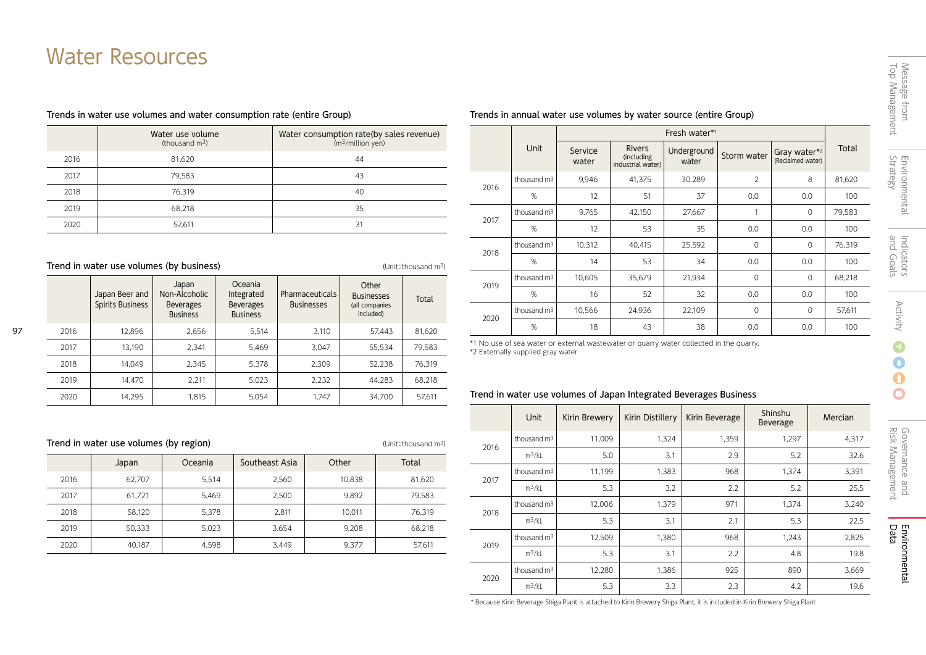# Water Resources

## Trends in water use volumes and water consumption rate (entire Group)

|      | Water use volume<br>(thousand $m^3$ ) | Water consumption rate(by sales revenue)<br>(m <sup>3</sup> /million yen) |
|------|---------------------------------------|---------------------------------------------------------------------------|
| 2016 | 81.620                                | 44                                                                        |
| 2017 | 79.583                                | 43                                                                        |
| 2018 | 76.319                                | 40                                                                        |
| 2019 | 68.218                                | 35                                                                        |
| 2020 | 57,611                                | 31                                                                        |

## Trend in water use volumes (by business) and the state of the Unit: thousand m<sup>3</sup>

|      | Japan Beer and<br><b>Spirits Business</b> | Japan<br>Non-Alcoholic<br><b>Beverages</b><br><b>Business</b> | Oceania<br>Integrated<br><b>Beverages</b><br><b>Business</b> | Pharmaceuticals<br><b>Businesses</b> | Other<br><b>Businesses</b><br>(all companies<br>included) | Total  |
|------|-------------------------------------------|---------------------------------------------------------------|--------------------------------------------------------------|--------------------------------------|-----------------------------------------------------------|--------|
| 2016 | 12.896                                    | 2.656                                                         | 5.514                                                        | 3.110                                | 57.443                                                    | 81.620 |
| 2017 | 13.190                                    | 2.341                                                         | 5.469                                                        | 3.047                                | 55,534                                                    | 79.583 |
| 2018 | 14.049                                    | 2,345                                                         | 5.378                                                        | 2.309                                | 52.238                                                    | 76.319 |
| 2019 | 14.470                                    | 2.211                                                         | 5,023                                                        | 2.232                                | 44.283                                                    | 68.218 |
| 2020 | 14.295                                    | 1.815                                                         | 5,054                                                        | 1.747                                | 34.700                                                    | 57.611 |

|      | Trend in water use volumes (by region) |       |       |        |        |  |  |  |
|------|----------------------------------------|-------|-------|--------|--------|--|--|--|
|      | Japan                                  | Total |       |        |        |  |  |  |
| 2016 | 62.707                                 | 5.514 | 2.560 | 10.838 | 81,620 |  |  |  |
| 2017 | 61.721                                 | 5.469 | 2.500 | 9.892  | 79,583 |  |  |  |
| 2018 | 58.120                                 | 5.378 | 2.811 | 10.011 | 76.319 |  |  |  |
| 2019 | 50.333                                 | 5.023 | 3.654 | 9.208  | 68.218 |  |  |  |
| 2020 | 40.187                                 | 4.598 | 3.449 | 9.377  | 57,611 |  |  |  |

## Trends in annual water use volumes by water source (entire Group)

|      |                         | Fresh water*1    |                                                  |                      |                |                                   |        |  |
|------|-------------------------|------------------|--------------------------------------------------|----------------------|----------------|-----------------------------------|--------|--|
|      | Unit                    | Service<br>water | <b>Rivers</b><br>(including<br>industrial water) | Underground<br>water | Storm water    | Gray water*2<br>(Reclaimed water) | Total  |  |
| 2016 | thousand $m3$           | 9,946            | 41,375                                           | 30,289               | $\overline{2}$ | 8                                 | 81,620 |  |
|      | %                       | 12               | 51                                               | 37                   | 0.0            | 0.0                               | 100    |  |
| 2017 | thousand $m3$           | 9,765            | 42,150                                           | 27,667               | 1              | $\mathbf{0}$                      | 79,583 |  |
|      | %                       | 12               | 53                                               | 35                   | 0.0            | 0.0                               | 100    |  |
| 2018 | thousand m <sup>3</sup> | 10,312           | 40,415                                           | 25,592               | $\Omega$       | $\mathbf{0}$                      | 76,319 |  |
|      | %                       | 14               | 53                                               | 34                   | 0.0            | 0.0                               | 100    |  |
| 2019 | thousand $m3$           | 10,605           | 35,679                                           | 21,934               | $\mathbf 0$    | $\mathbf{0}$                      | 68,218 |  |
|      | %                       | 16               | 52                                               | 32                   | 0.0            | 0.0                               | 100    |  |
|      | thousand $m3$           | 10,566           | 24,936                                           | 22,109               | $\mathbf 0$    | $\mathbf{0}$                      | 57,611 |  |
| 2020 | %                       | 18               | 43                                               | 38                   | 0.0            | 0.0                               | 100    |  |

\*1 No use of sea water or external wastewater or quarry water collected in the quarry. \*2 Externally supplied gray water

## Trend in water use volumes of Japan Integrated Beverages Business

|      | Unit                    | Kirin Brewery | Kirin Distillery | Kirin Beverage | Shinshu<br><b>Beverage</b> | Mercian |
|------|-------------------------|---------------|------------------|----------------|----------------------------|---------|
| 2016 | thousand $m3$           | 11,009        | 1,324            | 1,359          | 1,297                      | 4,317   |
|      | $m^3/kl$                | 5.0           | 3.1              | 2.9            | 5.2                        | 32.6    |
| 2017 | thousand m <sup>3</sup> | 11,199        | 1,383            | 968            | 1,374                      | 3,391   |
|      | $m^3/kL$                | 5.3           | 3.2              | 2.2            | 5.2                        | 25.5    |
|      | thousand $m3$           | 12,006        | 1.379            | 971            | 1,374                      | 3,240   |
| 2018 | $m^3/kL$                | 5.3           | 3.1              | 2.1            | 5.3                        | 22.5    |
|      | thousand $m3$           | 12,509        | 1,380            | 968            | 1,243                      | 2,825   |
| 2019 | $m^3/kL$                | 5.3           | 3.1              | 2.2            | 4.8                        | 19.8    |
|      | thousand $m3$           | 12,280        | 1,386            | 925            | 890                        | 3,669   |
| 2020 | $m^3/kL$                | 5.3           | 3.3              | 2.3            | 4.2                        | 19.6    |

\* Because Kirin Beverage Shiga Plant is attached to Kirin Brewery Shiga Plant, it is included in Kirin Brewery Shiga Plant

# Message from<br>Top Management Top Management Message from

Ô  $\mathbf \Omega$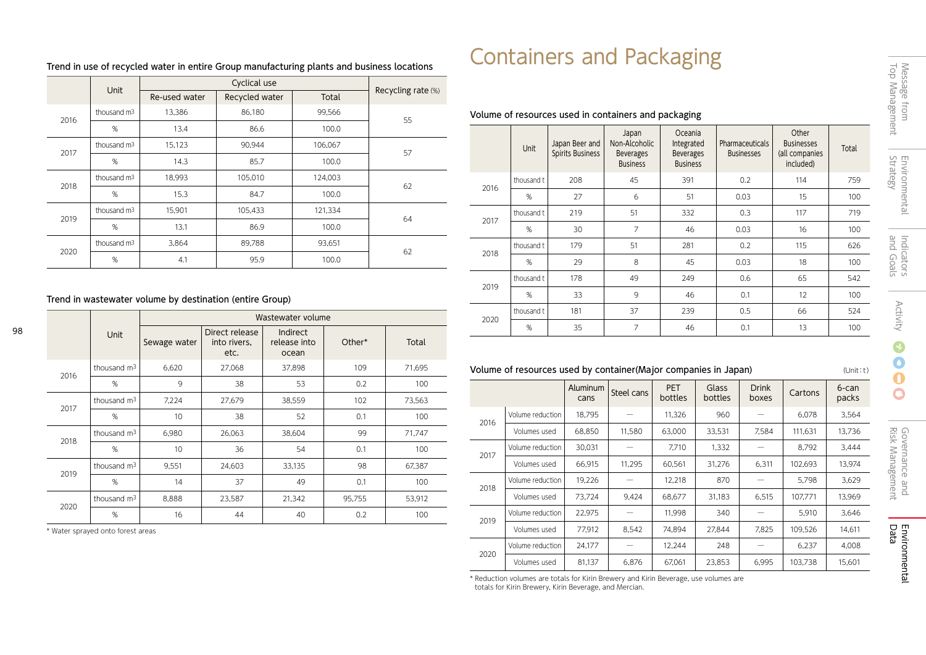|      | Unit                    |               |                |         |                    |  |
|------|-------------------------|---------------|----------------|---------|--------------------|--|
|      |                         | Re-used water | Recycled water | Total   | Recycling rate (%) |  |
| 2016 | thousand $m3$           | 13,386        | 86,180         | 99,566  | 55                 |  |
|      | %                       | 13.4          | 86.6           | 100.0   |                    |  |
| 2017 | thousand $m3$           | 15,123        | 90.944         | 106.067 | 57                 |  |
|      | %                       | 14.3          | 85.7           | 100.0   |                    |  |
| 2018 | thousand m <sup>3</sup> | 18,993        | 105,010        | 124,003 | 62                 |  |
|      | %                       | 15.3          | 84.7           | 100.0   |                    |  |
| 2019 | thousand $m3$           | 15,901        | 105,433        | 121,334 | 64                 |  |
|      | %                       | 13.1          | 86.9           | 100.0   |                    |  |
| 2020 | thousand $m3$           | 3,864         | 89,788         | 93,651  |                    |  |
|      | %                       | 4.1           | 95.9           | 100.0   | 62                 |  |

## Trend in use of recycled water in entire Group manufacturing plants and business locations

## Trend in wastewater volume by destination (entire Group)

|      |                         | Wastewater volume |                                        |                                          |        |        |  |  |
|------|-------------------------|-------------------|----------------------------------------|------------------------------------------|--------|--------|--|--|
|      | <b>Unit</b>             | Sewage water      | Direct release<br>into rivers.<br>etc. | <b>Indirect</b><br>release into<br>ocean | Other* | Total  |  |  |
| 2016 | thousand $m3$           | 6,620             | 27,068                                 | 37,898                                   | 109    | 71,695 |  |  |
|      | %                       | 9                 | 38                                     | 53                                       | 0.2    | 100    |  |  |
| 2017 | thousand $m3$           | 7,224             | 27,679                                 | 38,559                                   | 102    | 73,563 |  |  |
|      | %                       | 10                | 38                                     | 52                                       | 0.1    | 100    |  |  |
| 2018 | thousand $m3$           | 6,980             | 26,063                                 | 38,604                                   | 99     | 71,747 |  |  |
|      | %                       | 10                | 36                                     | 54                                       | 0.1    | 100    |  |  |
| 2019 | thousand $m3$           | 9,551             | 24,603                                 | 33,135                                   | 98     | 67,387 |  |  |
|      | %                       | 14                | 37                                     | 49                                       | 0.1    | 100    |  |  |
|      | thousand m <sup>3</sup> | 8,888             | 23,587                                 | 21,342                                   | 95,755 | 53,912 |  |  |
| 2020 | %                       | 16                | 44                                     | 40                                       | 0.2    | 100    |  |  |

\* Water sprayed onto forest areas

98

# Containers and Packaging

## Volume of resources used in containers and packaging

|      | Unit       | Japan Beer and<br>Spirits Business | Japan<br>Non-Alcoholic<br><b>Beverages</b><br><b>Business</b> | Oceania<br>Integrated<br><b>Beverages</b><br><b>Business</b> | Pharmaceuticals<br><b>Businesses</b> | Other<br><b>Businesses</b><br>(all companies<br>included) | Total |
|------|------------|------------------------------------|---------------------------------------------------------------|--------------------------------------------------------------|--------------------------------------|-----------------------------------------------------------|-------|
| 2016 | thousand t | 208                                | 45                                                            | 391                                                          | 0.2                                  | 114                                                       | 759   |
|      | %          | 27                                 | 6                                                             | 51                                                           | 0.03                                 | 15                                                        | 100   |
| 2017 | thousand t | 219                                | 51                                                            | 332                                                          | 0.3                                  | 117                                                       | 719   |
|      | %          | 30                                 | 7                                                             | 46                                                           | 0.03                                 | 16                                                        | 100   |
| 2018 | thousand t | 179                                | 51                                                            | 281                                                          | 0.2                                  | 115                                                       | 626   |
|      | %          | 29                                 | 8                                                             | 45                                                           | 0.03                                 | 18                                                        | 100   |
| 2019 | thousand t | 178                                | 49                                                            | 249                                                          | 0.6                                  | 65                                                        | 542   |
|      | %          | 33                                 | 9                                                             | 46                                                           | 0.1                                  | 12                                                        | 100   |
|      | thousand t | 181                                | 37                                                            | 239                                                          | 0.5                                  | 66                                                        | 524   |
| 2020 | %          | 35                                 | $\overline{7}$                                                | 46                                                           | 0.1                                  | 13                                                        | 100   |

## Volume of resources used by container(Major companies in Japan) (Unit: t)

|      |                  | Aluminum<br>cans | Steel cans | <b>PET</b><br>bottles | Glass<br>bottles | <b>Drink</b><br>boxes | Cartons | 6-can<br>packs |
|------|------------------|------------------|------------|-----------------------|------------------|-----------------------|---------|----------------|
| 2016 | Volume reduction | 18,795           |            | 11,326                | 960              |                       | 6,078   | 3,564          |
|      | Volumes used     | 68,850           | 11,580     | 63.000                | 33,531           | 7.584                 | 111.631 | 13.736         |
| 2017 | Volume reduction | 30,031           |            | 7.710                 | 1,332            |                       | 8.792   | 3.444          |
|      | Volumes used     | 66,915           | 11,295     | 60,561                | 31,276           | 6,311                 | 102.693 | 13,974         |
|      | Volume reduction | 19,226           |            | 12,218                | 870              |                       | 5,798   | 3.629          |
| 2018 | Volumes used     | 73,724           | 9.424      | 68.677                | 31,183           | 6,515                 | 107,771 | 13,969         |
| 2019 | Volume reduction | 22,975           |            | 11,998                | 340              |                       | 5,910   | 3,646          |
|      | Volumes used     | 77,912           | 8.542      | 74.894                | 27.844           | 7,825                 | 109,526 | 14.611         |
| 2020 | Volume reduction | 24,177           |            | 12.244                | 248              |                       | 6,237   | 4.008          |
|      | Volumes used     | 81.137           | 6.876      | 67.061                | 23.853           | 6.995                 | 103.738 | 15.601         |

\* Reduction volumes are totals for Kirin Brewery and Kirin Beverage, use volumes are totals for Kirin Brewery, Kirin Beverage, and Mercian.

÷.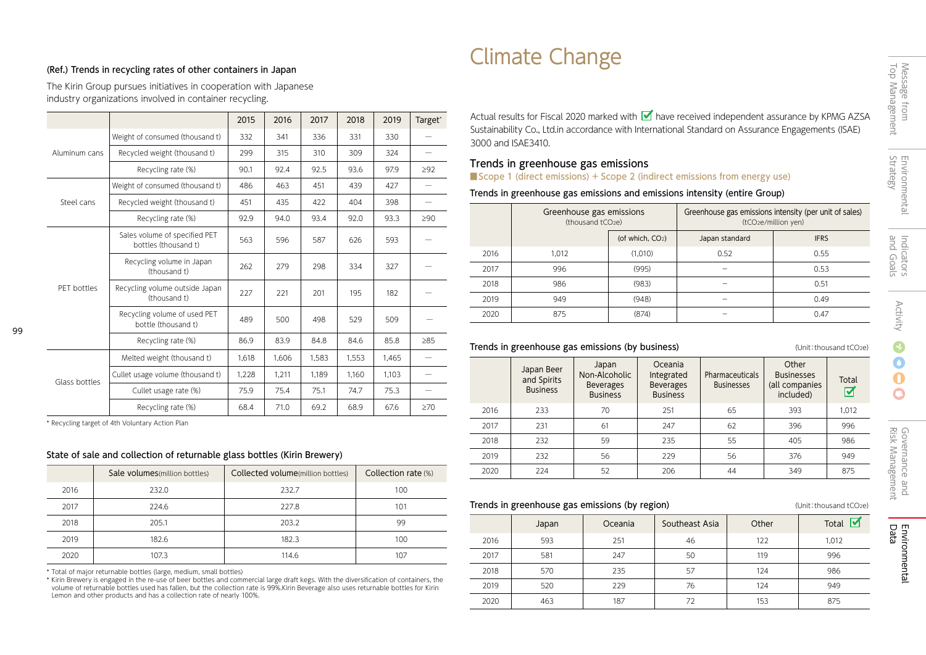# Climate Change

## (Ref.) Trends in recycling rates of other containers in Japan

The Kirin Group pursues initiatives in cooperation with Japanese industry organizations involved in container recycling.

|               |                                                       | 2015  | 2016  | 2017  | 2018  | 2019  | Target*   |
|---------------|-------------------------------------------------------|-------|-------|-------|-------|-------|-----------|
|               | Weight of consumed (thousand t)                       | 332   | 341   | 336   | 331   | 330   |           |
| Aluminum cans | Recycled weight (thousand t)                          | 299   | 315   | 310   | 309   | 324   |           |
|               | Recycling rate (%)                                    | 90.1  | 92.4  | 92.5  | 93.6  | 97.9  | $\geq$ 92 |
|               | Weight of consumed (thousand t)                       | 486   | 463   | 451   | 439   | 427   |           |
| Steel cans    | Recycled weight (thousand t)                          | 451   | 435   | 422   | 404   | 398   |           |
|               | Recycling rate (%)                                    | 92.9  | 94.0  | 93.4  | 92.0  | 93.3  | $\geq 90$ |
|               | Sales volume of specified PET<br>bottles (thousand t) | 563   | 596   | 587   | 626   | 593   |           |
|               | Recycling volume in Japan<br>(thousand t)             | 262   | 279   | 298   | 334   | 327   |           |
| PET bottles   | Recycling volume outside Japan<br>(thousand t)        | 227   | 221   | 201   | 195   | 182   |           |
|               | Recycling volume of used PET<br>bottle (thousand t)   | 489   | 500   | 498   | 529   | 509   |           |
|               | Recycling rate (%)                                    | 86.9  | 83.9  | 84.8  | 84.6  | 85.8  | $\geq 85$ |
|               | Melted weight (thousand t)                            | 1,618 | 1,606 | 1,583 | 1,553 | 1,465 |           |
| Glass bottles | Cullet usage volume (thousand t)                      | 1,228 | 1,211 | 1.189 | 1.160 | 1.103 |           |
|               | Cullet usage rate (%)                                 | 75.9  | 75.4  | 75.1  | 74.7  | 75.3  |           |
|               | Recycling rate (%)                                    | 68.4  | 71.0  | 69.2  | 68.9  | 67.6  | $\geq 70$ |

\* Recycling target of 4th Voluntary Action Plan

99

## State of sale and collection of returnable glass bottles (Kirin Brewery)

|      | Sale volumes (million bottles) | Collected volume(million bottles) | Collection rate (%) |
|------|--------------------------------|-----------------------------------|---------------------|
| 2016 | 232.0                          | 232.7                             | 100                 |
| 2017 | 224.6                          | 227.8                             | 101                 |
| 2018 | 205.1                          | 203.2                             | 99                  |
| 2019 | 182.6                          | 182.3                             | 100                 |
| 2020 | 107.3                          | 114.6                             | 107                 |

\* Total of major returnable bottles (large, medium, small bottles)

\* Kirin Brewery is engaged in the re-use of beer bottles and commercial large draft kegs. With the diversification of containers, the volume of returnable bottles used has fallen, but the collection rate is 99%.Kirin Beverage also uses returnable bottles for Kirin Lemon and other products and has a collection rate of nearly 100%.

Actual results for Fiscal 2020 marked with **1** have received independent assurance by KPMG AZSA Sustainability Co., Ltd.in accordance with International Standard on Assurance Engagements (ISAE) 3000 and ISAE3410.

## Trends in greenhouse gas emissions

■ Scope 1 (direct emissions) + Scope 2 (indirect emissions from energy use)

Trends in greenhouse gas emissions and emissions intensity (entire Group)

|      | Greenhouse gas emissions<br>(thousand tCO <sub>2e</sub> ) |                              | Greenhouse gas emissions intensity (per unit of sales)<br>(tCO <sub>2</sub> e/million yen) |             |  |
|------|-----------------------------------------------------------|------------------------------|--------------------------------------------------------------------------------------------|-------------|--|
|      |                                                           | (of which, CO <sub>2</sub> ) | Japan standard                                                                             | <b>IFRS</b> |  |
| 2016 | 1.012                                                     | (1,010)                      | 0.52                                                                                       | 0.55        |  |
| 2017 | 996                                                       | (995)                        |                                                                                            | 0.53        |  |
| 2018 | 986                                                       | (983)                        |                                                                                            | 0.51        |  |
| 2019 | 949                                                       | (948)                        |                                                                                            | 0.49        |  |
| 2020 | 875                                                       | (874)                        |                                                                                            | 0.47        |  |

## **Trends in greenhouse gas emissions (by business)** (Unit:thousand tCO<sub>2e</sub>)

|      | Japan Beer<br>and Spirits<br><b>Business</b> | Japan<br>Non-Alcoholic<br><b>Beverages</b><br><b>Business</b> | Oceania<br>Integrated<br><b>Beverages</b><br><b>Business</b> | Pharmaceuticals<br><b>Businesses</b> | Other<br><b>Businesses</b><br>(all companies<br>included) | Total<br>☑ |
|------|----------------------------------------------|---------------------------------------------------------------|--------------------------------------------------------------|--------------------------------------|-----------------------------------------------------------|------------|
| 2016 | 233                                          | 70                                                            | 251                                                          | 65                                   | 393                                                       | 1,012      |
| 2017 | 231                                          | 61                                                            | 247                                                          | 62                                   | 396                                                       | 996        |
| 2018 | 232                                          | 59                                                            | 235                                                          | 55                                   | 405                                                       | 986        |
| 2019 | 232                                          | 56                                                            | 229                                                          | 56                                   | 376                                                       | 949        |
| 2020 | 224                                          | 52                                                            | 206                                                          | 44                                   | 349                                                       | 875        |

## **Trends in greenhouse gas emissions (by region)**  $(Univ)$  (Unit:thousand tCO<sub>2e</sub>)

|      | Japan | Oceania | Southeast Asia | Other | Total |
|------|-------|---------|----------------|-------|-------|
| 2016 | 593   | 251     | 46             | 122   | 1,012 |
| 2017 | 581   | 247     | 50             | 119   | 996   |
| 2018 | 570   | 235     | 57             | 124   | 986   |
| 2019 | 520   | 229     | 76             | 124   | 949   |
| 2020 | 463   | 187     | 72             | 153   | 875   |

 $\bullet$  $\mathbf 0$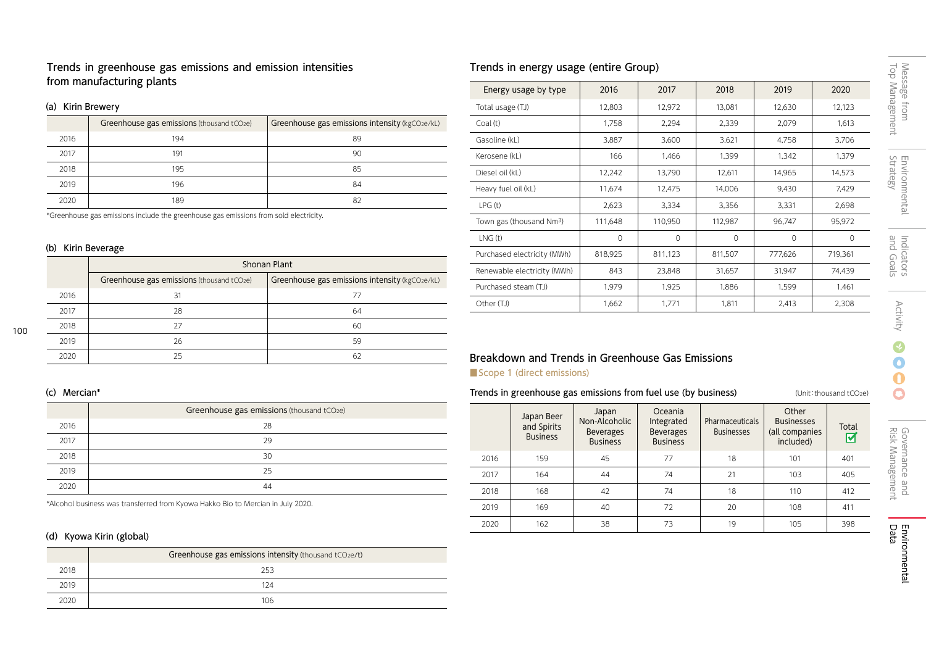Trends in greenhouse gas emissions and emission intensities from manufacturing plants

## (a) Kirin Brewery

|      | Greenhouse gas emissions (thousand tCO2e) | Greenhouse gas emissions intensity (kgCO2e/kL) |
|------|-------------------------------------------|------------------------------------------------|
| 2016 | 194                                       | 89                                             |
| 2017 | 191                                       | 90                                             |
| 2018 | 195                                       | 85                                             |
| 2019 | 196                                       | 84                                             |
| 2020 | 189                                       | 82                                             |

\*Greenhouse gas emissions include the greenhouse gas emissions from sold electricity.

## (b) Kirin Beverage

|      | Shonan Plant                              |                                                |  |  |  |  |
|------|-------------------------------------------|------------------------------------------------|--|--|--|--|
|      | Greenhouse gas emissions (thousand tCO2e) | Greenhouse gas emissions intensity (kgCO2e/kL) |  |  |  |  |
| 2016 | 31                                        | 77                                             |  |  |  |  |
| 2017 | 28                                        | 64                                             |  |  |  |  |
| 2018 | 27                                        | 60                                             |  |  |  |  |
| 2019 | 26                                        | 59                                             |  |  |  |  |
| 2020 | 25                                        | 62                                             |  |  |  |  |

## (c) Mercian\*

100

|      | Greenhouse gas emissions (thousand tCO2e) |
|------|-------------------------------------------|
| 2016 | 28                                        |
| 2017 | 29                                        |
| 2018 | 30                                        |
| 2019 | 25                                        |
| 2020 | 44                                        |

\*Alcohol business was transferred from Kyowa Hakko Bio to Mercian in July 2020.

## (d) Kyowa Kirin (global)

|      | Greenhouse gas emissions intensity (thousand tCO2e/t) |  |  |  |  |
|------|-------------------------------------------------------|--|--|--|--|
| 2018 | 253                                                   |  |  |  |  |
| 2019 | 124                                                   |  |  |  |  |
| 2020 | 106                                                   |  |  |  |  |

# Trends in energy usage (entire Group)

| Energy usage by type                 | 2016     | 2017     | 2018     | 2019     | 2020     |
|--------------------------------------|----------|----------|----------|----------|----------|
| Total usage (TJ)                     | 12,803   | 12,972   | 13,081   | 12,630   | 12,123   |
| Coal (t)                             | 1,758    | 2,294    | 2,339    | 2,079    | 1,613    |
| Gasoline (kL)                        | 3,887    | 3,600    | 3,621    | 4,758    | 3,706    |
| Kerosene (kL)                        | 166      | 1,466    | 1,399    | 1,342    | 1,379    |
| Diesel oil (kL)                      | 12,242   | 13,790   | 12,611   | 14,965   | 14,573   |
| Heavy fuel oil (kL)                  | 11,674   | 12,475   | 14,006   | 9,430    | 7,429    |
| LPG(t)                               | 2,623    | 3,334    | 3,356    | 3,331    | 2,698    |
| Town gas (thousand Nm <sup>3</sup> ) | 111,648  | 110,950  | 112,987  | 96,747   | 95,972   |
| LNG(t)                               | $\Omega$ | $\Omega$ | $\Omega$ | $\Omega$ | $\Omega$ |
| Purchased electricity (MWh)          | 818,925  | 811,123  | 811,507  | 777,626  | 719,361  |
| Renewable electricity (MWh)          | 843      | 23,848   | 31,657   | 31,947   | 74,439   |
| Purchased steam (TJ)                 | 1,979    | 1,925    | 1,886    | 1,599    | 1,461    |
| Other (TJ)                           | 1,662    | 1,771    | 1,811    | 2,413    | 2,308    |

# Breakdown and Trends in Greenhouse Gas Emissions

## ■ Scope 1 (direct emissions)

## Trends in greenhouse gas emissions from fuel use (by business) (Unit:thousand tCO2e)

|      | Japan Beer<br>and Spirits<br><b>Business</b> | Japan<br>Non-Alcoholic<br><b>Beverages</b><br><b>Business</b> | Oceania<br>Integrated<br><b>Beverages</b><br><b>Business</b> | <b>Pharmaceuticals</b><br><b>Businesses</b> | Other<br><b>Businesses</b><br>(all companies<br>included) | Total<br>ल |
|------|----------------------------------------------|---------------------------------------------------------------|--------------------------------------------------------------|---------------------------------------------|-----------------------------------------------------------|------------|
| 2016 | 159                                          | 45                                                            | 77                                                           | 18                                          | 101                                                       | 401        |
| 2017 | 164                                          | 44                                                            | 74                                                           | 21                                          | 103                                                       | 405        |
| 2018 | 168                                          | 42                                                            | 74                                                           | 18                                          | 110                                                       | 412        |
| 2019 | 169                                          | 40                                                            | 72                                                           | 20                                          | 108                                                       | 411        |
| 2020 | 162                                          | 38                                                            | 73                                                           | 19                                          | 105                                                       | 398        |

 $\Omega$  $\mathbf \Omega$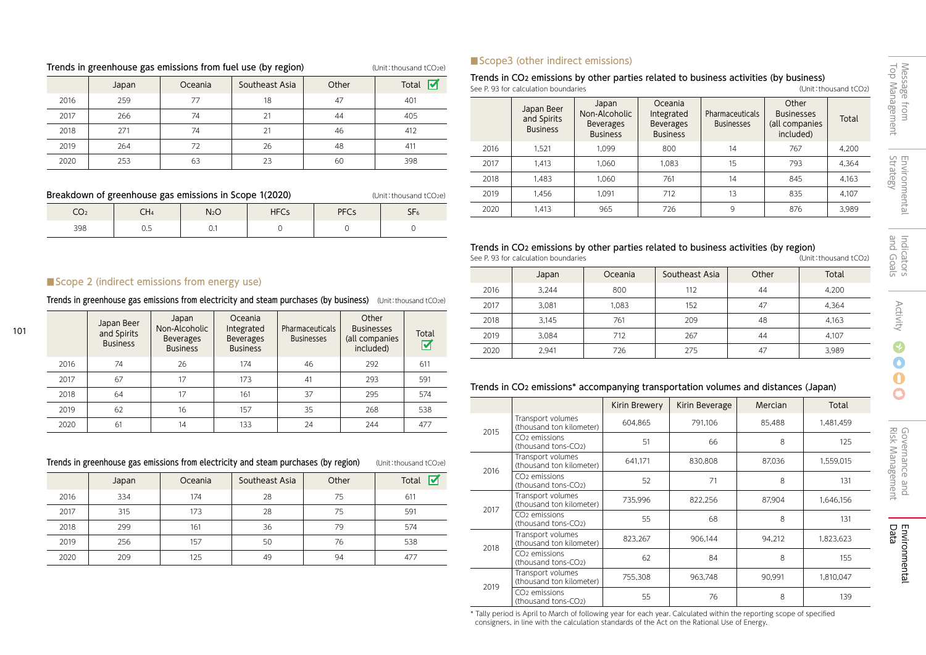## Trends in greenhouse gas emissions from fuel use (by region) (Unit: thousand tCO2e)

|      | Japan | Oceania | Southeast Asia | Other | $\overline{\mathbf{v}}$<br>Total |
|------|-------|---------|----------------|-------|----------------------------------|
| 2016 | 259   | 77      | 18             | 47    | 401                              |
| 2017 | 266   | 74      | 21             | 44    | 405                              |
| 2018 | 271   | 74      | 21             | 46    | 412                              |
| 2019 | 264   | 72      | 26             | 48    | 411                              |
| 2020 | 253   | 63      | 23             | 60    | 398                              |

| Breakdown of greenhouse gas emissions in Scope 1(2020)<br>(Unit: thousand tCO <sub>2</sub> e) |     |                  |             |             |                 |  |
|-----------------------------------------------------------------------------------------------|-----|------------------|-------------|-------------|-----------------|--|
| CO2                                                                                           | CH4 | N <sub>2</sub> O | <b>HFCs</b> | <b>PFCs</b> | SF <sub>6</sub> |  |
| 398                                                                                           | 0.5 |                  |             |             |                 |  |

## ■ Scope3 (other indirect emissions)

### Trends in CO<sub>2</sub> emissions by other parties related to business activities (by business)<br>See P. 93 for calculation boundaries<br>(Unit: thousand tCO<sub>2</sub>) See P. 93 for calculation boundaries

|      | Japan Beer<br>and Spirits<br><b>Business</b> | Japan<br>Non-Alcoholic<br><b>Beverages</b><br><b>Business</b> | Oceania<br>Integrated<br><b>Beverages</b><br><b>Business</b> | <b>Pharmaceuticals</b><br><b>Businesses</b> | Other<br><b>Businesses</b><br>(all companies<br>included) | Total |
|------|----------------------------------------------|---------------------------------------------------------------|--------------------------------------------------------------|---------------------------------------------|-----------------------------------------------------------|-------|
| 2016 | 1.521                                        | 1.099                                                         | 800                                                          | 14                                          | 767                                                       | 4,200 |
| 2017 | 1.413                                        | 1.060                                                         | 1.083                                                        | 15                                          | 793                                                       | 4.364 |
| 2018 | 1.483                                        | 1.060                                                         | 761                                                          | 14                                          | 845                                                       | 4.163 |
| 2019 | 1.456                                        | 1.091                                                         | 712                                                          | 13                                          | 835                                                       | 4.107 |
| 2020 | 1.413                                        | 965                                                           | 726                                                          | 9                                           | 876                                                       | 3,989 |

# Trends in CO<sub>2</sub> emissions by other parties related to business activities (by region)<br>See P.93 for calculation boundaries

See P. 93 for calculation boundaries

|      | Japan | Oceania | Southeast Asia | Other | Total |
|------|-------|---------|----------------|-------|-------|
| 2016 | 3.244 | 800     | 112            | 44    | 4,200 |
| 2017 | 3,081 | 1,083   | 152            | 47    | 4,364 |
| 2018 | 3.145 | 761     | 209            | 48    | 4,163 |
| 2019 | 3.084 | 712     | 267            | 44    | 4,107 |
| 2020 | 2,941 | 726     | 275            | 47    | 3,989 |

## ■Scope 2 (indirect emissions from energy use)

Trends in greenhouse gas emissions from electricity and steam purchases (by business) (Unit: thousand tCO2e)

|      | Japan Beer<br>and Spirits<br><b>Business</b> | Japan<br>Non-Alcoholic<br><b>Beverages</b><br><b>Business</b> | Oceania<br>Integrated<br><b>Beverages</b><br><b>Business</b> | Pharmaceuticals<br><b>Businesses</b> | Other<br><b>Businesses</b><br>(all companies<br>included) | Total<br>☑ |
|------|----------------------------------------------|---------------------------------------------------------------|--------------------------------------------------------------|--------------------------------------|-----------------------------------------------------------|------------|
| 2016 | 74                                           | 26                                                            | 174                                                          | 46                                   | 292                                                       | 611        |
| 2017 | 67                                           | 17                                                            | 173                                                          | 41                                   | 293                                                       | 591        |
| 2018 | 64                                           | 17                                                            | 161                                                          | 37                                   | 295                                                       | 574        |
| 2019 | 62                                           | 16                                                            | 157                                                          | 35                                   | 268                                                       | 538        |
| 2020 | 61                                           | 14                                                            | 133                                                          | 24                                   | 244                                                       | 477        |

## Trends in greenhouse gas emissions from electricity and steam purchases (by region) (Unit:thousand tCO2e)

|      | Japan | Oceania | Southeast Asia | Other | M<br>Total |
|------|-------|---------|----------------|-------|------------|
| 2016 | 334   | 174     | 28             | 75    | 611        |
| 2017 | 315   | 173     | 28             | 75    | 591        |
| 2018 | 299   | 161     | 36             | 79    | 574        |
| 2019 | 256   | 157     | 50             | 76    | 538        |
| 2020 | 209   | 125     | 49             | 94    | 477        |

# Trends in CO2 emissions\* accompanying transportation volumes and distances (Japan)

|      |                                                  | Kirin Brewery | Kirin Beverage | Mercian | Total     |
|------|--------------------------------------------------|---------------|----------------|---------|-----------|
| 2015 | Transport volumes<br>(thousand ton kilometer)    | 604.865       | 791.106        | 85.488  | 1,481,459 |
|      | CO <sub>2</sub> emissions<br>(thousand tons-CO2) | 51            | 66             | 8       | 125       |
| 2016 | Transport volumes<br>(thousand ton kilometer)    | 641,171       | 830,808        | 87,036  | 1,559,015 |
|      | CO <sub>2</sub> emissions<br>(thousand tons-CO2) | 52            | 71             | 8       | 131       |
| 2017 | Transport volumes<br>(thousand ton kilometer)    | 735,996       | 822.256        | 87.904  | 1.646.156 |
|      | CO <sub>2</sub> emissions<br>(thousand tons-CO2) | 55            | 68             | 8       | 131       |
| 2018 | Transport volumes<br>(thousand ton kilometer)    | 823,267       | 906.144        | 94,212  | 1,823,623 |
|      | CO <sub>2</sub> emissions<br>(thousand tons-CO2) | 62            | 84             | 8       | 155       |
| 2019 | Transport volumes<br>(thousand ton kilometer)    | 755,308       | 963,748        | 90.991  | 1.810.047 |
|      | CO <sub>2</sub> emissions<br>(thousand tons-CO2) | 55            | 76             | 8       | 139       |

\* Tally period is April to March of following year for each year. Calculated within the reporting scope of specified consigners, in line with the calculation standards of the Act on the Rational Use of Energy.

Governance and<br>Risk Management Risk Management Governance and

and Goals

Indicators<br>and Goals

Indicators Activity

**Activity** 

Ø  $\bullet$  $\mathbf 0$  $\overline{\mathbf{C}}$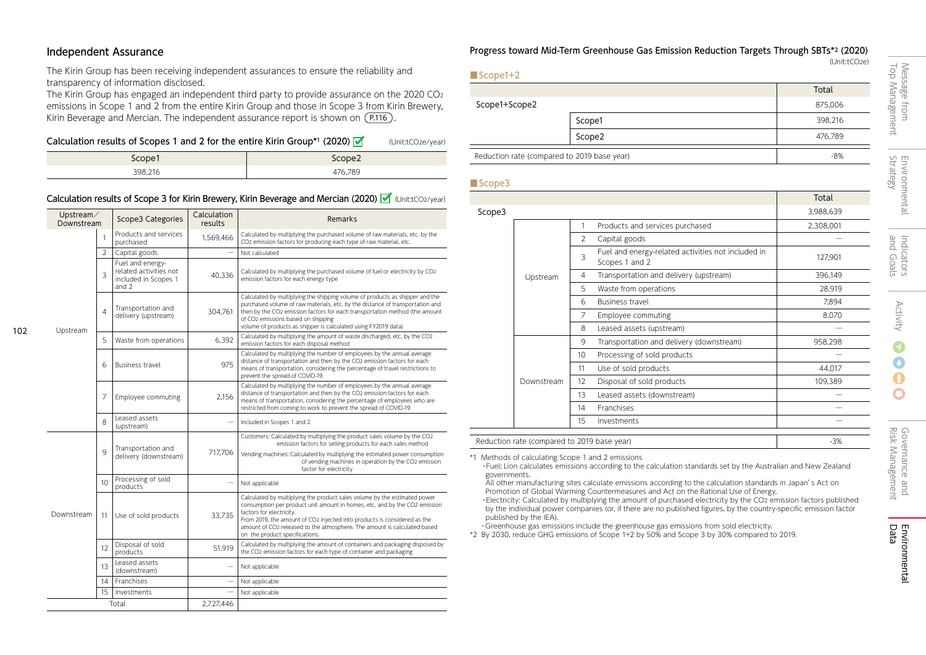## Independent Assurance

102

The Kirin Group has been receiving independent assurances to ensure the reliability and transparency of information disclosed.

The Kirin Group has engaged an independent third party to provide assurance on the 2020  $CO<sub>2</sub>$ emissions in Scope 1 and 2 from the entire Kirin Group and those in Scope 3 from Kirin Brewery, Kirin Beverage and Mercian. The independent assurance report is shown on (P.116).

## Calculation results of Scopes 1 and 2 for the entire Kirin Group\*1 (2020)  $\blacksquare$  (Unit:tCO2e/year)

| Scope1  | Scope <sub>2</sub> |
|---------|--------------------|
| 398,216 | 476,789            |

## Calculation results of Scope 3 for Kirin Brewery, Kirin Beverage and Mercian (2020)  $\mathcal{V}$  (Unit:tCO2/year)

| Upstream/<br>Downstream |                 | Scope3 Categories                                                           | Calculation<br>results | Remarks                                                                                                                                                                                                                                                                                                                                                                       |
|-------------------------|-----------------|-----------------------------------------------------------------------------|------------------------|-------------------------------------------------------------------------------------------------------------------------------------------------------------------------------------------------------------------------------------------------------------------------------------------------------------------------------------------------------------------------------|
|                         |                 | Products and services<br>purchased                                          | 1.569.466              | Calculated by multiplying the purchased volume of raw materials, etc. by the<br>CO2 emission factors for producing each type of raw material, etc.                                                                                                                                                                                                                            |
|                         | $\overline{2}$  | Capital goods                                                               |                        | Not calculated                                                                                                                                                                                                                                                                                                                                                                |
|                         | 3               | Fuel and energy-<br>related activities not<br>included in Scopes 1<br>and 2 | 40,336                 | Calculated by multiplying the purchased volume of fuel or electricity by CO2<br>emission factors for each energy type                                                                                                                                                                                                                                                         |
| Upstream                | $\overline{4}$  | Transportation and<br>delivery (upstream)                                   | 304,761                | Calculated by multiplying the shipping volume of products as shipper and the<br>purchased volume of raw materials, etc. by the distance of transportation and<br>then by the CO2 emission factors for each transportation method (the amount<br>of CO2 emissions based on shipping<br>volume of products as shipper is calculated using FY2019 data)                          |
|                         | 5               | Waste from operations                                                       | 6,392                  | Calculated by multiplying the amount of waste discharged, etc. by the CO2<br>emission factors for each disposal method                                                                                                                                                                                                                                                        |
|                         | 6               | <b>Business travel</b>                                                      | 975                    | Calculated by multiplying the number of employees by the annual average<br>distance of transportation and then by the CO2 emission factors for each<br>means of transportation, considering the percentage of travel restrictions to<br>prevent the spread of COVID-19                                                                                                        |
|                         | 7               | Employee commuting                                                          | 2,156                  | Calculated by multiplying the number of employees by the annual average<br>distance of transportation and then by the CO2 emission factors for each<br>means of transportation, considering the percentage of employees who are<br>restricted from coming to work to prevent the spread of COVID-19                                                                           |
|                         | 8               | Leased assets<br>(upstream)                                                 |                        | Included in Scopes 1 and 2                                                                                                                                                                                                                                                                                                                                                    |
|                         | 9               | Transportation and<br>delivery (downstream)                                 | 717.706                | Customers: Calculated by multiplying the product sales volume by the CO2<br>emission factors for selling products for each sales method<br>Vending machines: Calculated by multiplying the estimated power consumption<br>of vending machines in operation by the CO2 emission<br>factor for electricity                                                                      |
|                         | 10 <sup>2</sup> | Processing of sold<br>products                                              |                        | Not applicable                                                                                                                                                                                                                                                                                                                                                                |
| Downstream              | 11              | Use of sold products                                                        | 33,735                 | Calculated by multiplying the product sales volume by the estimated power<br>consumption per product unit amount in homes, etc. and by the CO2 emission<br>factors for electricity.<br>From 2019, the amount of CO2 injected into products is considered as the<br>amount of CO2 released to the atmosphere. The amount is calculated based<br>on the product specifications. |
|                         | 12              | Disposal of sold<br>products                                                | 51.919                 | Calculated by multiplying the amount of containers and packaging disposed by<br>the CO2 emission factors for each type of container and packaging                                                                                                                                                                                                                             |
|                         | 13              | Leased assets<br>(downstream)                                               |                        | Not applicable                                                                                                                                                                                                                                                                                                                                                                |
|                         | 14              | Franchises                                                                  |                        | Not applicable                                                                                                                                                                                                                                                                                                                                                                |
|                         | 15              | Investments                                                                 |                        | Not applicable                                                                                                                                                                                                                                                                                                                                                                |
|                         |                 | Total                                                                       | 2,727,446              |                                                                                                                                                                                                                                                                                                                                                                               |

### Progress toward Mid-Term Greenhouse Gas Emission Reduction Targets Through SBTs\*2 (2020) (Unit:tCO2e)

Total Scope1+Scope2 875,006 **Scope1** 398,216 Scope2 476,789 Reduction rate (compared to 2019 base year)  $-8\%$ ■Scope1+2

## ■Scope3

|        |                                                      |                    |                                                                      | Total     |  |  |  |
|--------|------------------------------------------------------|--------------------|----------------------------------------------------------------------|-----------|--|--|--|
| Scope3 |                                                      |                    |                                                                      | 3,988,639 |  |  |  |
|        |                                                      | 1                  | Products and services purchased                                      | 2,308,001 |  |  |  |
|        |                                                      | 2                  | Capital goods                                                        |           |  |  |  |
|        |                                                      | 3                  | Fuel and energy-related activities not included in<br>Scopes 1 and 2 | 127,901   |  |  |  |
|        | Upstream                                             | 4                  | Transportation and delivery (upstream)                               | 396,149   |  |  |  |
|        |                                                      | 5                  | Waste from operations                                                | 28,919    |  |  |  |
|        |                                                      | 6                  | Business travel                                                      | 7,894     |  |  |  |
|        | 7                                                    | Employee commuting | 8,070                                                                |           |  |  |  |
|        |                                                      | 8                  | Leased assets (upstream)                                             |           |  |  |  |
|        |                                                      | 9                  | Transportation and delivery (downstream)                             | 958,298   |  |  |  |
|        |                                                      | 10                 | Processing of sold products                                          |           |  |  |  |
|        |                                                      | 11                 | Use of sold products                                                 | 44,017    |  |  |  |
|        | Downstream                                           | 12                 | Disposal of sold products                                            | 109,389   |  |  |  |
|        |                                                      | 13                 | Leased assets (downstream)                                           |           |  |  |  |
|        |                                                      | 14                 | Franchises                                                           |           |  |  |  |
|        |                                                      | 15                 | Investments                                                          |           |  |  |  |
|        |                                                      |                    |                                                                      |           |  |  |  |
|        | $-3%$<br>Reduction rate (compared to 2019 base year) |                    |                                                                      |           |  |  |  |

\*1 Methods of calculating Scope 1 and 2 emissions

・Fuel: Lion calculates emissions according to the calculation standards set by the Australian and New Zealand governments.

All other manufacturing sites calculate emissions according to the calculation standards in Japan's Act on Promotion of Global Warming Countermeasures and Act on the Rational Use of Energy. ・Electricity: Calculated by multiplying the amount of purchased electricity by the CO2 emission factors published by the individual power companies (or, if there are no published figures, by the country-specific emission factor

published by the IEA). ・Greenhouse gas emissions include the greenhouse gas emissions from sold electricity.

\*2 By 2030, reduce GHG emissions of Scope 1+2 by 50% and Scope 3 by 30% compared to 2019.

O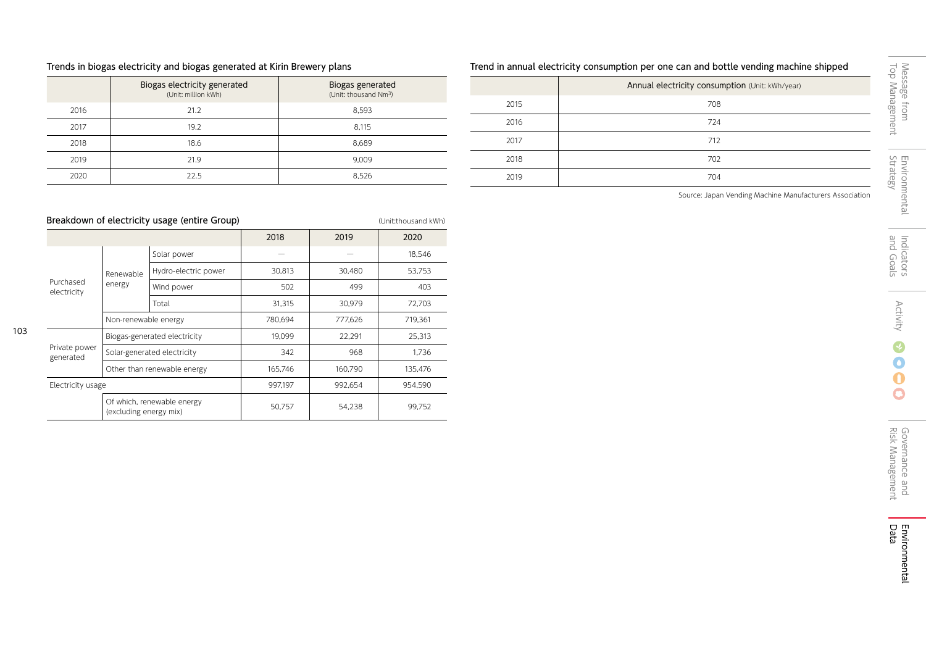## Trends in biogas electricity and biogas generated at Kirin Brewery plans

|      | Biogas electricity generated<br>(Unit: million kWh) | Biogas generated<br>(Unit: thousand Nm <sup>3</sup> ) |
|------|-----------------------------------------------------|-------------------------------------------------------|
| 2016 | 21.2                                                | 8.593                                                 |
| 2017 | 19.2                                                | 8.115                                                 |
| 2018 | 18.6                                                | 8.689                                                 |
| 2019 | 21.9                                                | 9.009                                                 |
| 2020 | 22.5                                                | 8.526                                                 |

Breakdown of electricity usage (entire Group) entire the Control of the Unit:thousand kWh)

Solar-generated electricity  $342$  968 1,736 Other than renewable energy 165,746 160,790 135,476

UT WHICH, THE WADLE ENERGY<br>
(excluding energy mix) The Superior SA,238 (excluding energy mix)

Electricity usage 1997, 1997, 1997, 1997, 1992, 1992, 1999, 1999, 1999, 1999, 1999, 1998, 1998, 1998, 1998, 19

| Trend in annual electricity consumption per one can and bottle vending machine shipped |                                                 |                      |  |  |  |  |  |
|----------------------------------------------------------------------------------------|-------------------------------------------------|----------------------|--|--|--|--|--|
|                                                                                        | Annual electricity consumption (Unit: kWh/year) | Messag<br>-o'        |  |  |  |  |  |
| 2015                                                                                   | 708                                             |                      |  |  |  |  |  |
| 2016                                                                                   | 724                                             | gement<br><u>giu</u> |  |  |  |  |  |
| 2017                                                                                   | 712                                             |                      |  |  |  |  |  |
| 2018                                                                                   | 702                                             | $\Box$<br>⊟          |  |  |  |  |  |
| 2019                                                                                   | 704                                             | ateg<br>g            |  |  |  |  |  |

Source: Japan Vending Machine Manufacturers Association

 $\mathbf 0$  $\mathbf \Omega$ 

### 2018 2019 2020 Purchased electricity Renewable energy  $Solar power$   $+$  18,546 Hydro-electric power | 30,813 | 30,480 | 53,753 Wind power **1** 502 499 403 Total 31,315 30,979 72,703 Non-renewable energy 19,361 780,694 777,626 719,361 Private power Biogas-generated electricity 19,099  $\vert$  22,291 25,313

Of which, renewable energy

generated

103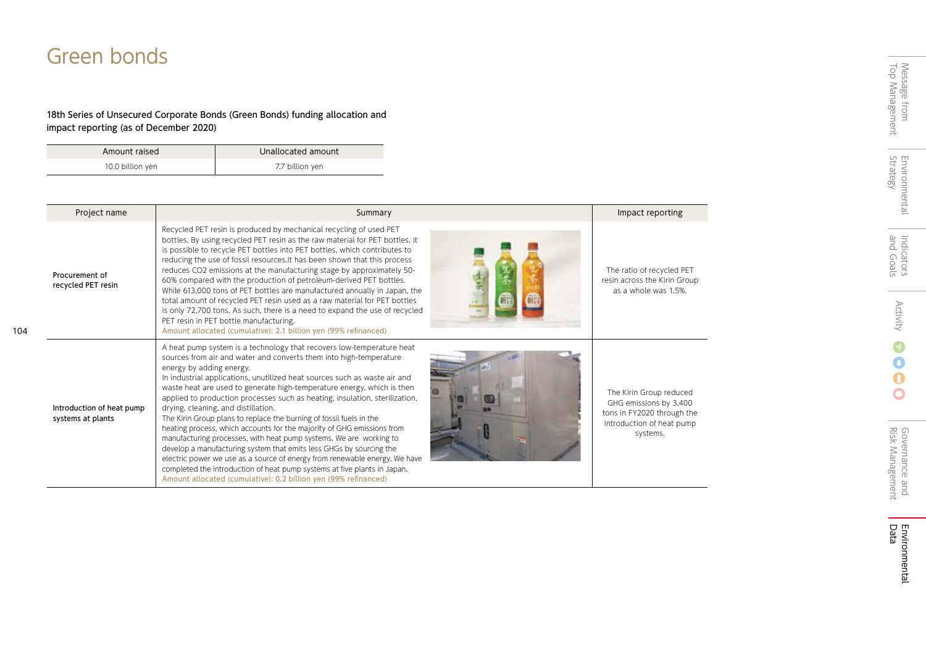# Green bonds

104

## 18th Series of Unsecured Corporate Bonds (Green Bonds) funding allocation and impact reporting (as of December 2020)

| Amount raised    | Unallocated amount |
|------------------|--------------------|
| 10.0 billion yen | 7.7 billion yen    |

| Project name                                   | Summary                                                                                                                                                                                                                                                                                                                                                                                                                                                                                                                                                                                                                                                                                                                                                                                                                                                                                                                                                                         | Impact reporting                                                                                                         |
|------------------------------------------------|---------------------------------------------------------------------------------------------------------------------------------------------------------------------------------------------------------------------------------------------------------------------------------------------------------------------------------------------------------------------------------------------------------------------------------------------------------------------------------------------------------------------------------------------------------------------------------------------------------------------------------------------------------------------------------------------------------------------------------------------------------------------------------------------------------------------------------------------------------------------------------------------------------------------------------------------------------------------------------|--------------------------------------------------------------------------------------------------------------------------|
| Procurement of<br>recycled PET resin           | Recycled PET resin is produced by mechanical recycling of used PET<br>bottles. By using recycled PET resin as the raw material for PET bottles, it<br>is possible to recycle PET bottles into PET bottles, which contributes to<br>reducing the use of fossil resources. It has been shown that this process<br>reduces CO2 emissions at the manufacturing stage by approximately 50-<br>60% compared with the production of petroleum-derived PET bottles.<br>While 613,000 tons of PET bottles are manufactured annually in Japan, the<br>total amount of recycled PET resin used as a raw material for PET bottles<br>is only 72,700 tons. As such, there is a need to expand the use of recycled<br>PET resin in PET bottle manufacturing.<br>Amount allocated (cumulative): 2.1 billion yen (99% refinanced)                                                                                                                                                               | The ratio of recycled PET<br>resin across the Kirin Group<br>as a whole was 1.5%.                                        |
| Introduction of heat pump<br>systems at plants | A heat pump system is a technology that recovers low-temperature heat<br>sources from air and water and converts them into high-temperature<br>energy by adding energy.<br>In industrial applications, unutilized heat sources such as waste air and<br>waste heat are used to generate high-temperature energy, which is then<br>applied to production processes such as heating, insulation, sterilization,<br>drying, cleaning, and distillation.<br>The Kirin Group plans to replace the burning of fossil fuels in the<br>heating process, which accounts for the majority of GHG emissions from<br>manufacturing processes, with heat pump systems. We are working to<br>develop a manufacturing system that emits less GHGs by sourcing the<br>electric power we use as a source of energy from renewable energy. We have<br>completed the introduction of heat pump systems at five plants in Japan.<br>Amount allocated (cumulative): 0.2 billion yen (99% refinanced) | The Kirin Group reduced<br>GHG emissions by 3,400<br>tons in FY2020 through the<br>introduction of heat pump<br>systems. |

÷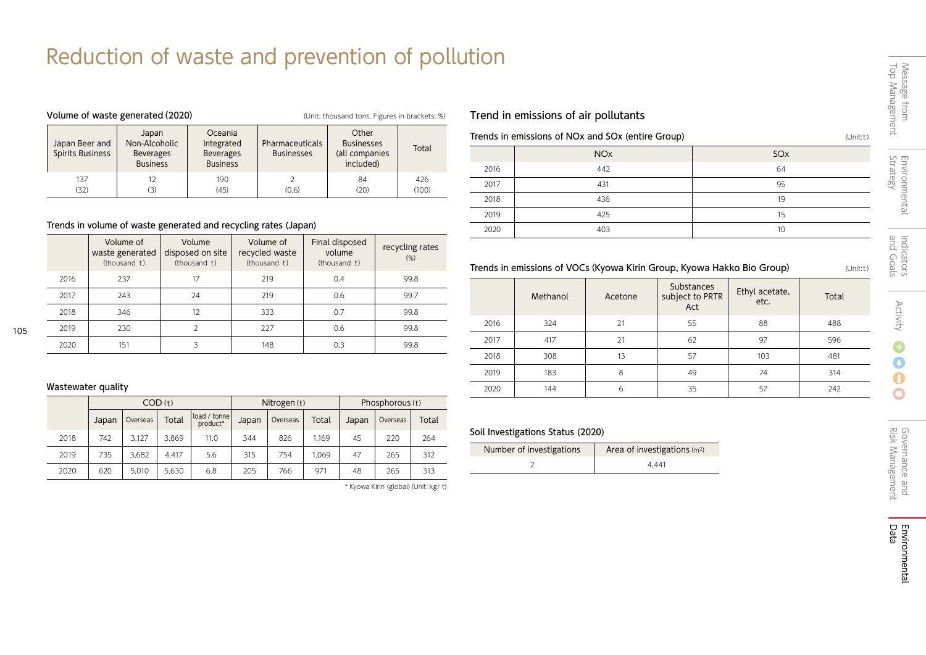# Reduction of waste and prevention of pollution

| Volume of waste generated (2020)   |                                                               |                                                              |                                      | (Unit: thousand tons. Figures in brackets: %)             |              |
|------------------------------------|---------------------------------------------------------------|--------------------------------------------------------------|--------------------------------------|-----------------------------------------------------------|--------------|
| Japan Beer and<br>Spirits Business | Japan<br>Non-Alcoholic<br><b>Beverages</b><br><b>Business</b> | Oceania<br>Integrated<br><b>Beverages</b><br><b>Business</b> | Pharmaceuticals<br><b>Businesses</b> | Other<br><b>Businesses</b><br>(all companies<br>included) | Total        |
| 137<br>(32)                        | 12<br>(3)                                                     | 190<br>(45)                                                  | (0.6)                                | 84<br>(20)                                                | 426<br>(100) |

## Trends in volume of waste generated and recycling rates (Japan)

|      | Volume of<br>waste generated<br>(thousand t) | Volume<br>disposed on site<br>(thousand t) | Volume of<br>recycled waste<br>(thousand t) | Final disposed<br>volume<br>(thousand t) | recycling rates<br>(% ) |
|------|----------------------------------------------|--------------------------------------------|---------------------------------------------|------------------------------------------|-------------------------|
| 2016 | 237                                          | 17                                         | 219                                         | 0.4                                      | 99.8                    |
| 2017 | 243                                          | 24                                         | 219                                         | 0.6                                      | 99.7                    |
| 2018 | 346                                          | 12                                         | 333                                         | 0.7                                      | 99.8                    |
| 2019 | 230                                          |                                            | 227                                         | 0.6                                      | 99.8                    |
| 2020 | 151                                          | 3                                          | 148                                         | 0.3                                      | 99.8                    |

## Wastewater quality

105

|      | COD(t) |          |       | Nitrogen (t)              |       |          | Phosphorous (t) |       |          |       |
|------|--------|----------|-------|---------------------------|-------|----------|-----------------|-------|----------|-------|
|      | Japan  | Overseas | Total | load / tonnel<br>product* | Japan | Overseas | Total           | Japan | Overseas | Total |
| 2018 | 742    | 3.127    | 3.869 | 11.0                      | 344   | 826      | 1.169           | 45    | 220      | 264   |
| 2019 | 735    | 3.682    | 4.417 | 5.6                       | 315   | 754      | 1.069           | 47    | 265      | 312   |
| 2020 | 620    | 5.010    | 5.630 | 6.8                       | 205   | 766      | 971             | 48    | 265      | 313   |

\* Kyowa Kirin (global)(Unit:kg/ t)

# Trend in emissions of air pollutants

## Trends in emissions of NOx and SOx (entire Group) (Unit:t) (Unit:t)

|      | <b>NO<sub>x</sub></b> | SO <sub>x</sub> |
|------|-----------------------|-----------------|
| 2016 | 442                   | 64              |
| 2017 | 431                   | 95              |
| 2018 | 436                   | 19              |
| 2019 | 425                   | 15              |
| 2020 | 403                   | 10              |

## Trends in emissions of VOCs(Kyowa Kirin Group, Kyowa Hakko Bio Group) (Unit:t)

|      | Methanol | Acetone | Substances<br>subject to PRTR<br>Act | Ethyl acetate,<br>etc. | Total |
|------|----------|---------|--------------------------------------|------------------------|-------|
| 2016 | 324      | 21      | 55                                   | 88                     | 488   |
| 2017 | 417      | 21      | 62                                   | 97                     | 596   |
| 2018 | 308      | 13      | 57                                   | 103                    | 481   |
| 2019 | 183      | 8       | 49                                   | 74                     | 314   |
| 2020 | 144      | 6       | 35                                   | 57                     | 242   |

## Soil Investigations Status (2020)

| Number of investigations | Area of investigations (m <sup>2</sup> ) |
|--------------------------|------------------------------------------|
|                          | 4.441                                    |

 $\mathbf 0$  $\bullet$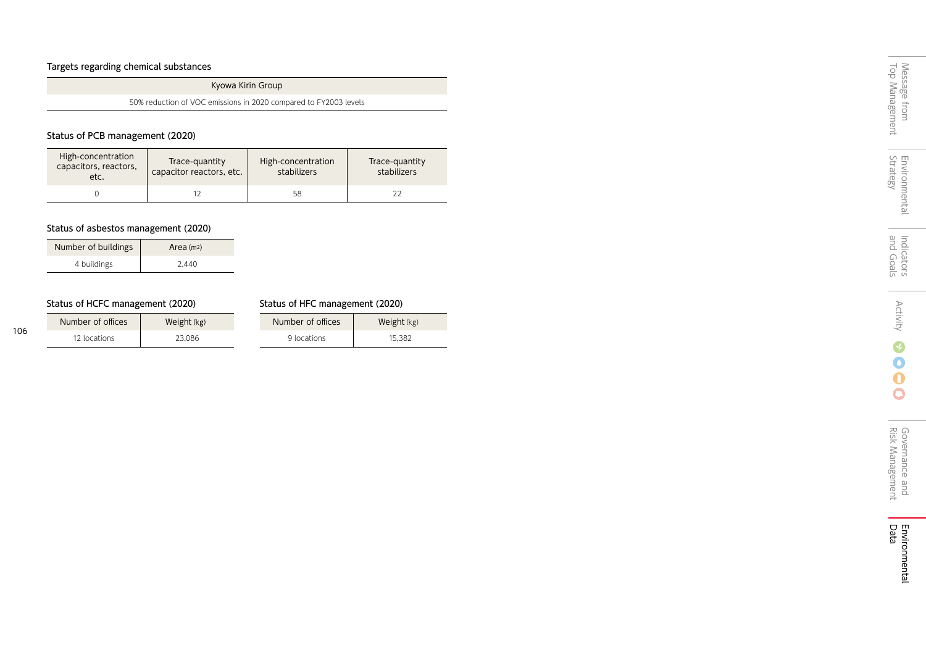## Targets regarding chemical substances

Kyowa Kirin Group

50% reduction of VOC emissions in 2020 compared to FY2003 levels

## Status of PCB management (2020)

| High-concentration<br>capacitors, reactors,<br>etc. | Trace-quantity<br>capacitor reactors, etc. | High-concentration<br>stabilizers | Trace-quantity<br>stabilizers |
|-----------------------------------------------------|--------------------------------------------|-----------------------------------|-------------------------------|
|                                                     |                                            | 58                                |                               |

## Status of asbestos management (2020)

| Number of buildings | Area $(m2)$ |
|---------------------|-------------|
| 4 buildings         | 2.440       |

## Status of HCFC management (2020) Status of HFC management (2020)

| Number of offices | Weight $(kg)$ | Number of offices | <b>Weight</b> $(kg)$ |
|-------------------|---------------|-------------------|----------------------|
| 12 locations      | 23.086        | 9 locations       | 15.382               |

÷

 $\overline{O}$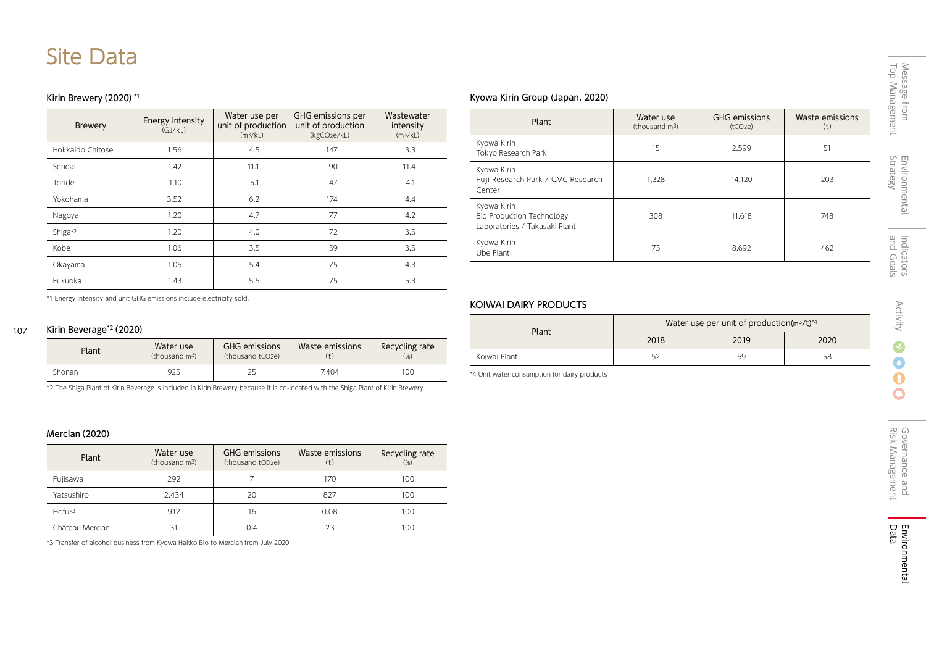# Site Data

## Kirin Brewery (2020) \*1

| <b>Brewery</b>   | Energy intensity<br>(GJ/KL) | Water use per<br>unit of production<br>(m <sup>3</sup> /kL) | GHG emissions per<br>unit of production<br>(kgCO <sub>2</sub> e/kL) | Wastewater<br>intensity<br>(m <sup>3</sup> /kL) |
|------------------|-----------------------------|-------------------------------------------------------------|---------------------------------------------------------------------|-------------------------------------------------|
| Hokkaido Chitose | 1.56                        | 4.5                                                         | 147                                                                 | 3.3                                             |
| Sendai           | 1.42                        | 11.1                                                        | 90                                                                  | 11.4                                            |
| Toride           | 1.10                        | 5.1                                                         | 47                                                                  | 4.1                                             |
| Yokohama         | 3.52                        | 6.2                                                         | 174                                                                 | 4.4                                             |
| Nagoya           | 1.20                        | 4.7                                                         | 77                                                                  | 4.2                                             |
| Shiga*2          | 1.20                        | 4.0                                                         | 72                                                                  | 3.5                                             |
| Kobe             | 1.06                        | 3.5                                                         | 59                                                                  | 3.5                                             |
| Okayama          | 1.05                        | 5.4                                                         | 75                                                                  | 4.3                                             |
| Fukuoka          | 1.43                        | 5.5                                                         | 75                                                                  | 5.3                                             |

## Kyowa Kirin Group (Japan, 2020)

| Plant                                                                     | Water use<br>(thousand $m^3$ ) | <b>GHG emissions</b><br>(tCO2e) | Waste emissions<br>(t) |
|---------------------------------------------------------------------------|--------------------------------|---------------------------------|------------------------|
| Kyowa Kirin<br>Tokyo Research Park                                        | 15                             | 2,599                           | 51                     |
| Kyowa Kirin<br>Fuji Research Park / CMC Research<br>Center                | 1.328                          | 14.120                          | 203                    |
| Kyowa Kirin<br>Bio Production Technology<br>Laboratories / Takasaki Plant | 308                            | 11.618                          | 748                    |
| Kyowa Kirin<br>Ube Plant                                                  | 73                             | 8.692                           | 462                    |

\*1 Energy intensity and unit GHG emissions include electricity sold.

#### 107 Kirin Beverage\*2(2020)

| Plant  | Water use<br>(thousand $m^3$ ) | <b>GHG emissions</b><br>(thousand tCO2e) | Waste emissions | Recycling rate<br>(%) |
|--------|--------------------------------|------------------------------------------|-----------------|-----------------------|
| Shonan | 925                            |                                          | 7.404           | 100                   |

\*2 The Shiga Plant of Kirin Beverage is included in Kirin Brewery because it is co-located with the Shiga Plant of Kirin Brewery.

## Mercian(2020)

| Plant           | Water use<br>(thousand m <sup>3</sup> ) | <b>GHG emissions</b><br>(thousand tCO2e) | Waste emissions<br>(t) | Recycling rate<br>(%) |
|-----------------|-----------------------------------------|------------------------------------------|------------------------|-----------------------|
| Fujisawa        | 292                                     |                                          | 170                    | 100                   |
| Yatsushiro      | 2.434                                   | 20                                       | 827                    | 100                   |
| $Hofu*3$        | 912                                     | 16                                       | 0.08                   | 100                   |
| Château Mercian | 31                                      | 0.4                                      | つろ                     | 100                   |

\*3 Transfer of alcohol business from Kyowa Hakko Bio to Mercian from July 2020

## KOIWAI DAIRY PRODUCTS

| Plant        | Water use per unit of production $(m^3/t)^{1/4}$ |      |      |  |
|--------------|--------------------------------------------------|------|------|--|
|              | 2018                                             | 2019 | 2020 |  |
| Koiwai Plant | 52                                               | 59   | 58   |  |

\*4 Unit water consumption for dairy products

÷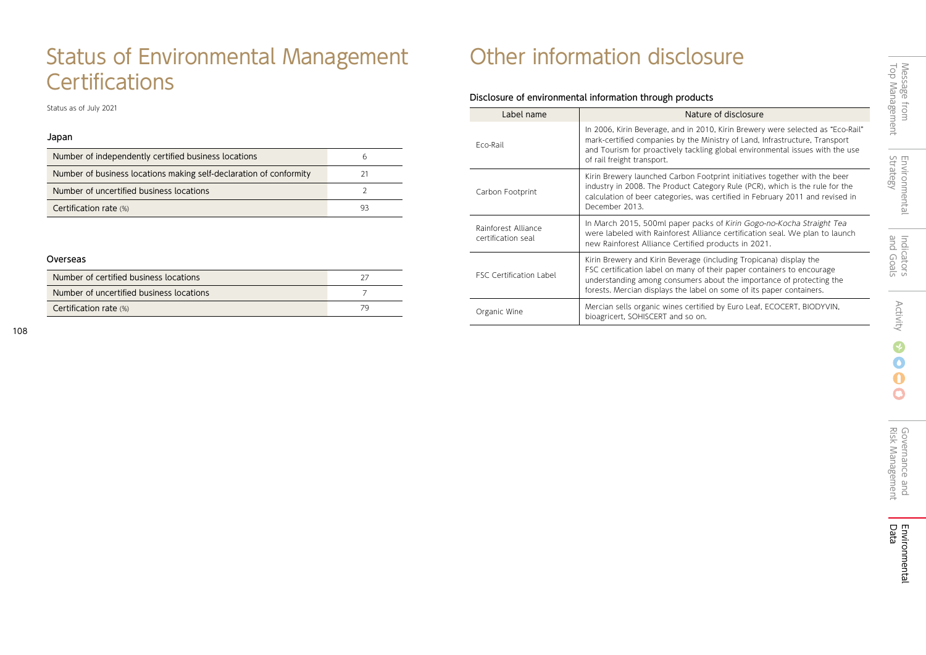# Status of Environmental Management **Certifications**

Status as of July 2021

## Japan

| Number of independently certified business locations               | h  |
|--------------------------------------------------------------------|----|
| Number of business locations making self-declaration of conformity |    |
| Number of uncertified business locations                           |    |
| Certification rate (%)                                             | 93 |

## Overseas

| Number of certified business locations   |  |
|------------------------------------------|--|
| Number of uncertified business locations |  |
| Certification rate (%)                   |  |

# Other information disclosure

## Disclosure of environmental information through products

| Label name                                | Nature of disclosure                                                                                                                                                                                                                                                                         |
|-------------------------------------------|----------------------------------------------------------------------------------------------------------------------------------------------------------------------------------------------------------------------------------------------------------------------------------------------|
| Fco-Rail                                  | In 2006, Kirin Beverage, and in 2010, Kirin Brewery were selected as "Eco-Rail"<br>mark-certified companies by the Ministry of Land, Infrastructure, Transport<br>and Tourism for proactively tackling global environmental issues with the use<br>of rail freight transport.                |
| Carbon Footprint                          | Kirin Brewery launched Carbon Footprint initiatives together with the beer<br>industry in 2008. The Product Category Rule (PCR), which is the rule for the<br>calculation of beer categories, was certified in February 2011 and revised in<br>December 2013.                                |
| Rainforest Alliance<br>certification seal | In March 2015, 500ml paper packs of Kirin Gogo-no-Kocha Straight Tea<br>were labeled with Rainforest Alliance certification seal. We plan to launch<br>new Rainforest Alliance Certified products in 2021.                                                                                   |
| <b>FSC Certification Label</b>            | Kirin Brewery and Kirin Beverage (including Tropicana) display the<br>FSC certification label on many of their paper containers to encourage<br>understanding among consumers about the importance of protecting the<br>forests. Mercian displays the label on some of its paper containers. |
| Organic Wine                              | Mercian sells organic wines certified by Euro Leaf, ECOCERT, BIODYVIN,<br>bioagricert, SOHISCERT and so on.                                                                                                                                                                                  |

 $\overline{\mathbf{C}}$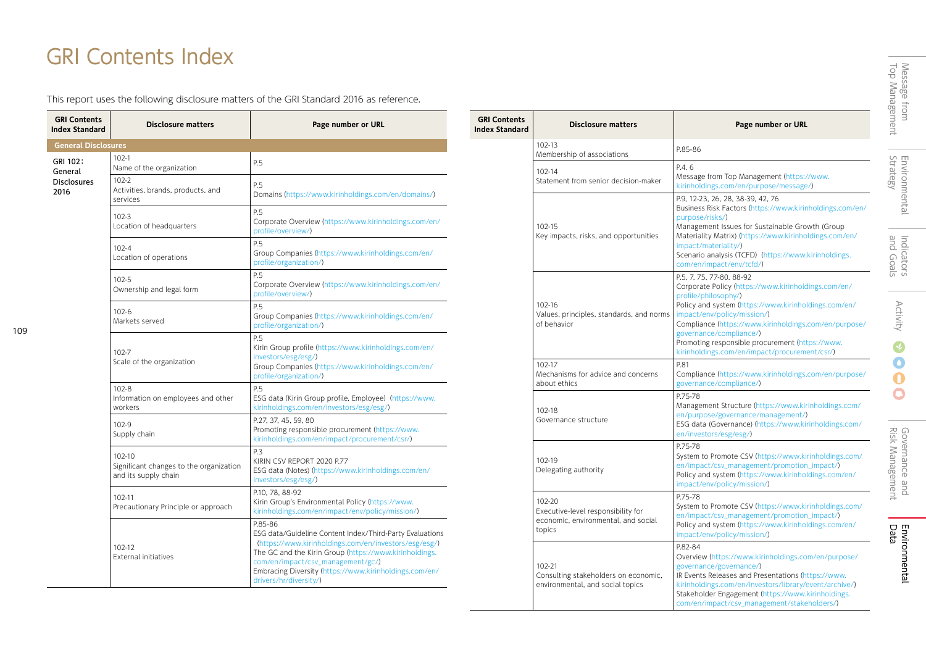# GRI Contents Index

109

J.

This report uses the following disclosure matters of the GRI Standard 2016 as reference.

| <b>GRI Contents</b><br><b>Index Standard</b> | <b>Disclosure matters</b>                                                 | Page number or URL                                                                                                                                                                                                                                                                                              |
|----------------------------------------------|---------------------------------------------------------------------------|-----------------------------------------------------------------------------------------------------------------------------------------------------------------------------------------------------------------------------------------------------------------------------------------------------------------|
| <b>General Disclosures</b>                   |                                                                           |                                                                                                                                                                                                                                                                                                                 |
| GRI 102:<br>General                          | $102 - 1$<br>Name of the organization                                     | P.5                                                                                                                                                                                                                                                                                                             |
| <b>Disclosures</b><br>2016                   | 102-2<br>Activities, brands, products, and<br>services                    | P.5<br>Domains (https://www.kirinholdings.com/en/domains/)                                                                                                                                                                                                                                                      |
|                                              | $102 - 3$<br>Location of headquarters                                     | P.5<br>Corporate Overview (https://www.kirinholdings.com/en/<br>profile/overview/)                                                                                                                                                                                                                              |
|                                              | $102 - 4$<br>Location of operations                                       | P.5<br>Group Companies (https://www.kirinholdings.com/en/<br>profile/organization/)                                                                                                                                                                                                                             |
|                                              | 102-5<br>Ownership and legal form                                         | P.5<br>Corporate Overview (https://www.kirinholdings.com/en/<br>profile/overview/)                                                                                                                                                                                                                              |
|                                              | $102 - 6$<br>Markets served                                               | P.5<br>Group Companies (https://www.kirinholdings.com/en/<br>profile/organization/)                                                                                                                                                                                                                             |
|                                              | 102-7<br>Scale of the organization                                        | P <sub>5</sub><br>Kirin Group profile (https://www.kirinholdings.com/en/<br>investors/esg/esg/)<br>Group Companies (https://www.kirinholdings.com/en/<br>profile/organization/)                                                                                                                                 |
|                                              | $102 - 8$<br>Information on employees and other<br>workers                | P.5<br>ESG data (Kirin Group profile, Employee) (https://www.<br>kirinholdings.com/en/investors/esg/esg/)                                                                                                                                                                                                       |
|                                              | 102-9<br>Supply chain                                                     | P.27, 37, 45, 59, 80<br>Promoting responsible procurement (https://www.<br>kirinholdings.com/en/impact/procurement/csr/)                                                                                                                                                                                        |
|                                              | 102-10<br>Significant changes to the organization<br>and its supply chain | P.3<br>KIRIN CSV REPORT 2020 P.77<br>ESG data (Notes) (https://www.kirinholdings.com/en/<br>investors/esg/esg/)                                                                                                                                                                                                 |
|                                              | 102-11<br>Precautionary Principle or approach                             | P.10. 78. 88-92<br>Kirin Group's Environmental Policy (https://www.<br>kirinholdings.com/en/impact/env/policy/mission/)                                                                                                                                                                                         |
|                                              | 102-12<br>External initiatives                                            | P.85-86<br>ESG data/Guideline Content Index/Third-Party Evaluations<br>(https://www.kirinholdings.com/en/investors/esg/esg/)<br>The GC and the Kirin Group (https://www.kirinholdings.<br>com/en/impact/csv_management/gc/)<br>Embracing Diversity (https://www.kirinholdings.com/en/<br>drivers/hr/diversity/) |

| <b>GRI Contents</b><br><b>Index Standard</b> | <b>Disclosure matters</b>                                                                     | Page number or URL                                                                                                                                                                                                                                                                                                                                                                     |
|----------------------------------------------|-----------------------------------------------------------------------------------------------|----------------------------------------------------------------------------------------------------------------------------------------------------------------------------------------------------------------------------------------------------------------------------------------------------------------------------------------------------------------------------------------|
|                                              | 102-13<br>Membership of associations                                                          | P.85-86                                                                                                                                                                                                                                                                                                                                                                                |
|                                              | 102-14<br>Statement from senior decision-maker                                                | P.4.6<br>Message from Top Management (https://www.<br>kirinholdings.com/en/purpose/message/)                                                                                                                                                                                                                                                                                           |
|                                              | 102-15<br>Key impacts, risks, and opportunities                                               | P.9, 12-23, 26, 28, 38-39, 42, 76<br>Business Risk Factors (https://www.kirinholdings.com/en/<br>purpose/risks/)<br>Management Issues for Sustainable Growth (Group<br>Materiality Matrix) (https://www.kirinholdings.com/en/<br>impact/materiality/)<br>Scenario analysis (TCFD) (https://www.kirinholdings.<br>com/en/impact/env/tcfd/)                                              |
|                                              | 102-16<br>Values, principles, standards, and norms<br>of behavior                             | P.5. 7. 75. 77-80. 88-92<br>Corporate Policy (https://www.kirinholdings.com/en/<br>profile/philosophy/)<br>Policy and system (https://www.kirinholdings.com/en/<br>impact/env/policy/mission/)<br>Compliance (https://www.kirinholdings.com/en/purpose/<br>governance/compliance/)<br>Promoting responsible procurement (https://www.<br>kirinholdings.com/en/impact/procurement/csr/) |
|                                              | 102-17<br>Mechanisms for advice and concerns<br>about ethics                                  | P.81<br>Compliance (https://www.kirinholdings.com/en/purpose/<br>governance/compliance/)                                                                                                                                                                                                                                                                                               |
|                                              | 102-18<br>Governance structure                                                                | P.75-78<br>Management Structure (https://www.kirinholdings.com/<br>en/purpose/governance/management/)<br>ESG data (Governance) (https://www.kirinholdings.com/<br>en/investors/esg/esg/)                                                                                                                                                                                               |
|                                              | 102-19<br>Delegating authority                                                                | P.75-78<br>System to Promote CSV (https://www.kirinholdings.com/<br>en/impact/csv_management/promotion_impact/)<br>Policy and system (https://www.kirinholdings.com/en/<br>impact/env/policy/mission/)                                                                                                                                                                                 |
|                                              | 102-20<br>Executive-level responsibility for<br>economic, environmental, and social<br>topics | P.75-78<br>System to Promote CSV (https://www.kirinholdings.com/<br>en/impact/csv_management/promotion_impact/)<br>Policy and system (https://www.kirinholdings.com/en/<br>impact/env/policy/mission/)                                                                                                                                                                                 |
|                                              | 102-21<br>Consulting stakeholders on economic,<br>environmental, and social topics            | P.82-84<br>Overview (https://www.kirinholdings.com/en/purpose/<br>governance/governance/)<br>IR Events Releases and Presentations (https://www.<br>kirinholdings.com/en/investors/library/event/archive/)<br>Stakeholder Engagement (https://www.kirinholdings.<br>com/en/impact/csv_management/stakeholders/)                                                                         |

L,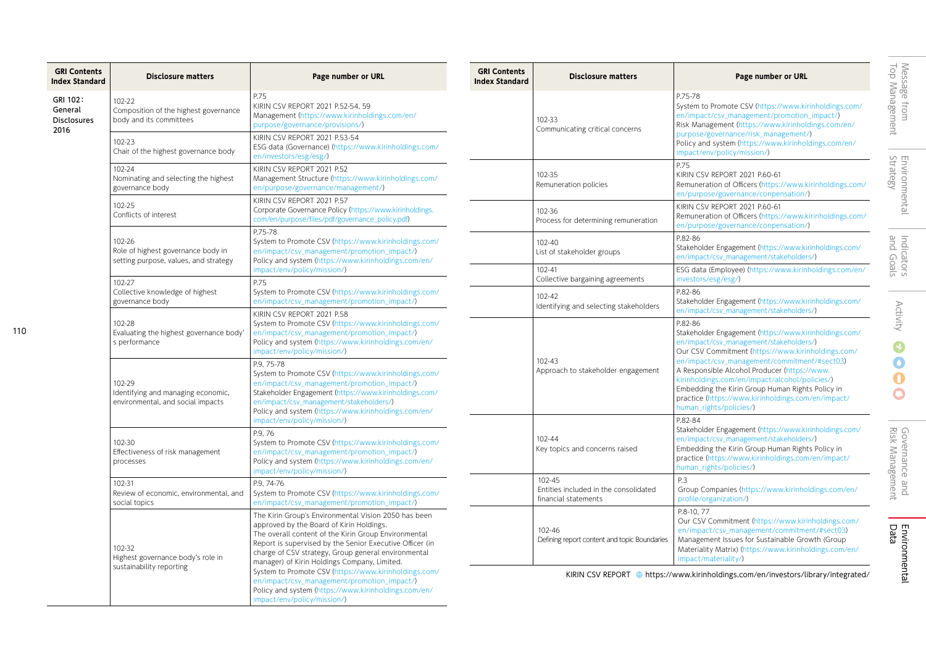| <b>GRI Contents</b><br><b>Disclosure matters</b><br><b>Index Standard</b> |                                                                                       | Page number or URL                                                                                                                                                                                                                                                                                                                                                                                                                                                                                                         |  |
|---------------------------------------------------------------------------|---------------------------------------------------------------------------------------|----------------------------------------------------------------------------------------------------------------------------------------------------------------------------------------------------------------------------------------------------------------------------------------------------------------------------------------------------------------------------------------------------------------------------------------------------------------------------------------------------------------------------|--|
| GRI 102:<br>General<br><b>Disclosures</b>                                 | 102-22<br>Composition of the highest governance<br>body and its committees            | P.75<br>KIRIN CSV REPORT 2021 P.52-54, 59<br>Management (https://www.kirinholdings.com/en/<br>purpose/governance/provisions/)                                                                                                                                                                                                                                                                                                                                                                                              |  |
| 2016                                                                      | 102-23<br>Chair of the highest governance body                                        | KIRIN CSV REPORT 2021 P.53-54<br>ESG data (Governance) (https://www.kirinholdings.com/<br>en/investors/esg/esg/)                                                                                                                                                                                                                                                                                                                                                                                                           |  |
|                                                                           | 102-24<br>Nominating and selecting the highest<br>governance body                     | KIRIN CSV REPORT 2021 P.52<br>Management Structure (https://www.kirinholdings.com/<br>en/purpose/governance/management/)                                                                                                                                                                                                                                                                                                                                                                                                   |  |
|                                                                           | 102-25<br>Conflicts of interest                                                       | KIRIN CSV REPORT 2021 P.57<br>Corporate Governance Policy (https://www.kirinholdings.<br>com/en/purpose/files/pdf/governance_policy.pdf)                                                                                                                                                                                                                                                                                                                                                                                   |  |
|                                                                           | 102-26<br>Role of highest governance body in<br>setting purpose, values, and strategy | P.75-78<br>System to Promote CSV (https://www.kirinholdings.com/<br>en/impact/csv_management/promotion_impact/)<br>Policy and system (https://www.kirinholdings.com/en/<br>impact/env/policy/mission/)                                                                                                                                                                                                                                                                                                                     |  |
|                                                                           | 102-27<br>Collective knowledge of highest<br>governance body                          | P.75<br>System to Promote CSV (https://www.kirinholdings.com/<br>en/impact/csv_management/promotion_impact/)                                                                                                                                                                                                                                                                                                                                                                                                               |  |
|                                                                           | 102-28<br>Evaluating the highest governance body'<br>s performance                    | KIRIN CSV REPORT 2021 P.58<br>System to Promote CSV (https://www.kirinholdings.com/<br>en/impact/csv_management/promotion_impact/)<br>Policy and system (https://www.kirinholdings.com/en/<br>impact/env/policy/mission/)                                                                                                                                                                                                                                                                                                  |  |
|                                                                           | 102-29<br>Identifying and managing economic,<br>environmental, and social impacts     | P.9, 75-78<br>System to Promote CSV (https://www.kirinholdings.com/<br>en/impact/csv_management/promotion_impact/)<br>Stakeholder Engagement (https://www.kirinholdings.com/<br>en/impact/csv_management/stakeholders/)<br>Policy and system (https://www.kirinholdings.com/en/<br>impact/env/policy/mission/)                                                                                                                                                                                                             |  |
|                                                                           | 102-30<br>Effectiveness of risk management<br>processes                               | P.9.76<br>System to Promote CSV (https://www.kirinholdings.com/<br>en/impact/csv_management/promotion_impact/)<br>Policy and system (https://www.kirinholdings.com/en/<br>impact/env/policy/mission/)                                                                                                                                                                                                                                                                                                                      |  |
|                                                                           | 102-31<br>Review of economic, environmental, and<br>social topics                     | P.9. 74-76<br>System to Promote CSV (https://www.kirinholdings.com/<br>en/impact/csv_management/promotion_impact/)                                                                                                                                                                                                                                                                                                                                                                                                         |  |
|                                                                           | 102-32<br>Highest governance body's role in<br>sustainability reporting               | The Kirin Group's Environmental Vision 2050 has been<br>approved by the Board of Kirin Holdings.<br>The overall content of the Kirin Group Environmental<br>Report is supervised by the Senior Executive Officer (in<br>charge of CSV strategy, Group general environmental<br>manager) of Kirin Holdings Company, Limited.<br>System to Promote CSV (https://www.kirinholdings.com/<br>en/impact/csv_management/promotion_impact/)<br>Policy and system (https://www.kirinholdings.com/en/<br>impact/env/policy/mission/) |  |

| <b>GRI Contents</b><br>Index Standard | <b>Disclosure matters</b>                                               | Page number or URL                                                                                                                                                                                                                                                                                                                                                                                                                                        |
|---------------------------------------|-------------------------------------------------------------------------|-----------------------------------------------------------------------------------------------------------------------------------------------------------------------------------------------------------------------------------------------------------------------------------------------------------------------------------------------------------------------------------------------------------------------------------------------------------|
|                                       | 102-33<br>Communicating critical concerns                               | P.75-78<br>System to Promote CSV (https://www.kirinholdings.com/<br>en/impact/csv_management/promotion_impact/)<br>Risk Management (https://www.kirinholdings.com/en/<br>purpose/governance/risk management/)<br>Policy and system (https://www.kirinholdings.com/en/<br>impact/env/policy/mission/)                                                                                                                                                      |
|                                       | 102-35<br>Remuneration policies                                         | P.75<br>KIRIN CSV REPORT 2021 P.60-61<br>Remuneration of Officers (https://www.kirinholdings.com/<br>en/purpose/governance/conpensation/)                                                                                                                                                                                                                                                                                                                 |
|                                       | 102-36<br>Process for determining remuneration                          | KIRIN CSV REPORT 2021 P.60-61<br>Remuneration of Officers (https://www.kirinholdings.com/<br>en/purpose/governance/conpensation/)                                                                                                                                                                                                                                                                                                                         |
|                                       | 102-40<br>List of stakeholder groups                                    | P.82-86<br>Stakeholder Engagement (https://www.kirinholdings.com/<br>en/impact/csv_management/stakeholders/)                                                                                                                                                                                                                                                                                                                                              |
|                                       | 102-41<br>Collective bargaining agreements                              | ESG data (Employee) (https://www.kirinholdings.com/en/<br>investors/esg/esg/)                                                                                                                                                                                                                                                                                                                                                                             |
|                                       | $102 - 42$<br>Identifying and selecting stakeholders                    | P.82-86<br>Stakeholder Engagement (https://www.kirinholdings.com/<br>en/impact/csv_management/stakeholders/)                                                                                                                                                                                                                                                                                                                                              |
|                                       | 102-43<br>Approach to stakeholder engagement                            | P.82-86<br>Stakeholder Engagement (https://www.kirinholdings.com/<br>en/impact/csv_management/stakeholders/)<br>Our CSV Commitment (https://www.kirinholdings.com/<br>en/impact/csv_management/commitment/#sect03)<br>A Responsible Alcohol Producer (https://www.<br>kirinholdings.com/en/impact/alcohol/policies/)<br>Embedding the Kirin Group Human Rights Policy in<br>practice (https://www.kirinholdings.com/en/impact/<br>human_rights/policies/) |
|                                       | 102-44<br>Key topics and concerns raised                                | P.82-84<br>Stakeholder Engagement (https://www.kirinholdings.com/<br>en/impact/csv_management/stakeholders/)<br>Embedding the Kirin Group Human Rights Policy in<br>practice (https://www.kirinholdings.com/en/impact/<br>human_rights/policies/)                                                                                                                                                                                                         |
|                                       | 102-45<br>Entities included in the consolidated<br>financial statements | P.3<br>Group Companies (https://www.kirinholdings.com/en/<br>profile/organization/)                                                                                                                                                                                                                                                                                                                                                                       |
|                                       | 102-46<br>Defining report content and topic Boundaries                  | P.8-10, 77<br>Our CSV Commitment (https://www.kirinholdings.com/<br>en/impact/csv_management/commitment/#sect03)<br>Management Issues for Sustainable Growth (Group<br>Materiality Matrix) (https://www.kirinholdings.com/en/<br>impact/materiality/)                                                                                                                                                                                                     |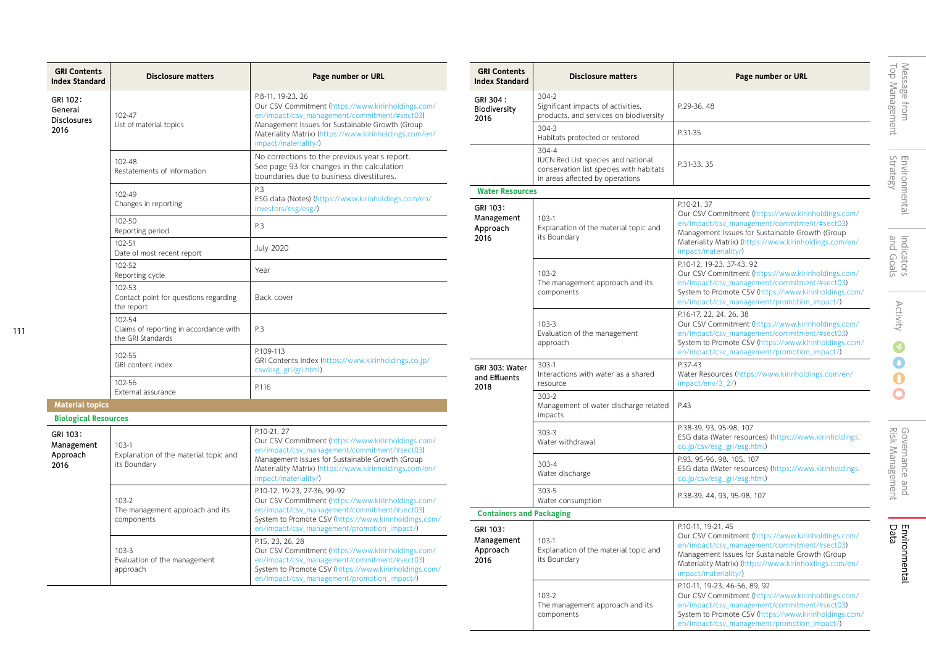| <b>GRI Contents</b><br><b>Index Standard</b>                              | <b>Disclosure matters</b>                                             | Page number or URL                                                                                                                                                                                                                                           |
|---------------------------------------------------------------------------|-----------------------------------------------------------------------|--------------------------------------------------------------------------------------------------------------------------------------------------------------------------------------------------------------------------------------------------------------|
| GRI 102:<br>General<br><b>Disclosures</b><br>2016                         | 102-47<br>List of material topics                                     | P.8-11, 19-23, 26<br>Our CSV Commitment (https://www.kirinholdings.com/<br>en/impact/csv_management/commitment/#sect03)<br>Management Issues for Sustainable Growth (Group<br>Materiality Matrix) (https://www.kirinholdings.com/en/<br>impact/materiality/) |
|                                                                           | 102-48<br>Restatements of information                                 | No corrections to the previous year's report.<br>See page 93 for changes in the calculation<br>boundaries due to business divestitures.                                                                                                                      |
|                                                                           | 102-49<br>Changes in reporting                                        | P.3<br>ESG data (Notes) (https://www.kirinholdings.com/en/<br>investors/esg/esg/)                                                                                                                                                                            |
|                                                                           | 102-50<br>Reporting period                                            | P.3                                                                                                                                                                                                                                                          |
|                                                                           | 102-51<br>Date of most recent report                                  | <b>July 2020</b>                                                                                                                                                                                                                                             |
|                                                                           | 102-52<br>Reporting cycle                                             | Year                                                                                                                                                                                                                                                         |
|                                                                           | 102-53<br>Contact point for questions regarding<br>the report         | Back cover                                                                                                                                                                                                                                                   |
|                                                                           | 102-54<br>Claims of reporting in accordance with<br>the GRI Standards | P.3                                                                                                                                                                                                                                                          |
|                                                                           | 102-55<br>GRI content index                                           | P.109-113<br>GRI Contents Index (https://www.kirinholdings.co.jp/<br>csv/esg_gri/gri.html)                                                                                                                                                                   |
|                                                                           | 102-56<br>External assurance                                          | P.116                                                                                                                                                                                                                                                        |
| <b>Material topics</b>                                                    |                                                                       |                                                                                                                                                                                                                                                              |
| <b>Biological Resources</b><br>GRI 103:<br>Management<br>Approach<br>2016 | $103-1$<br>Explanation of the material topic and<br>its Boundary      | P.10-21, 27<br>Our CSV Commitment (https://www.kirinholdings.com/<br>en/impact/csv_management/commitment/#sect03)<br>Management Issues for Sustainable Growth (Group<br>Materiality Matrix) (https://www.kirinholdings.com/en/<br>impact/materiality/)       |
|                                                                           | $103 - 2$<br>The management approach and its<br>components            | P.10-12, 19-23, 27-36, 90-92<br>Our CSV Commitment (https://www.kirinholdings.com/<br>en/impact/csv_management/commitment/#sect03)<br>System to Promote CSV (https://www.kirinholdings.com/<br>en/impact/csv_management/promotion_impact/)                   |
|                                                                           | $103 - 3$<br>Evaluation of the management<br>approach                 | P.15, 23, 26, 28<br>Our CSV Commitment (https://www.kirinholdings.com/<br>en/impact/csv_management/commitment/#sect03)<br>System to Promote CSV (https://www.kirinholdings.com/<br>en/impact/csv_management/promotion_impact/)                               |

| <b>GRI Contents</b><br><b>Index Standard</b> | <b>Disclosure matters</b>                                                                                                     | Page number or URL                                                                                                                                                                                                                                            |                                          |  |
|----------------------------------------------|-------------------------------------------------------------------------------------------------------------------------------|---------------------------------------------------------------------------------------------------------------------------------------------------------------------------------------------------------------------------------------------------------------|------------------------------------------|--|
| GRI 304:<br>Biodiversity<br>2016             | 304-2<br>Significant impacts of activities,<br>products, and services on biodiversity                                         | P.29-36, 48                                                                                                                                                                                                                                                   | Top Management<br>Message from           |  |
|                                              | 304-3<br>Habitats protected or restored                                                                                       | P.31-35                                                                                                                                                                                                                                                       |                                          |  |
|                                              | $304 - 4$<br>IUCN Red List species and national<br>conservation list species with habitats<br>in areas affected by operations | P.31-33, 35                                                                                                                                                                                                                                                   | Strategy<br>Environmenta                 |  |
| <b>Water Resources</b>                       |                                                                                                                               |                                                                                                                                                                                                                                                               |                                          |  |
| GRI 103:<br>Management<br>Approach<br>2016   | $103-1$<br>Explanation of the material topic and<br>its Boundary                                                              | P.10-21, 37<br>Our CSV Commitment (https://www.kirinholdings.com/<br>en/impact/csv_management/commitment/#sect03)<br>Management Issues for Sustainable Growth (Group                                                                                          |                                          |  |
|                                              |                                                                                                                               | Materiality Matrix) (https://www.kirinholdings.com/en/<br>impact/materiality/)                                                                                                                                                                                | and Goals<br>Indicators                  |  |
|                                              | 103-2<br>The management approach and its<br>components                                                                        | P.10-12, 19-23, 37-43, 92<br>Our CSV Commitment (https://www.kirinholdings.com/<br>en/impact/csv_management/commitment/#sect03)<br>System to Promote CSV (https://www.kirinholdings.com/                                                                      |                                          |  |
|                                              |                                                                                                                               | en/impact/csv_management/promotion_impact/)                                                                                                                                                                                                                   |                                          |  |
|                                              | 103-3<br>Evaluation of the management                                                                                         | P.16-17, 22, 24, 26, 38<br>Our CSV Commitment (https://www.kirinholdings.com/<br>en/impact/csv_management/commitment/#sect03)                                                                                                                                 | <b>Activity</b>                          |  |
|                                              | approach                                                                                                                      | System to Promote CSV (https://www.kirinholdings.com/<br>en/impact/csv_management/promotion_impact/)                                                                                                                                                          |                                          |  |
| GRI 303: Water<br>and Effluents<br>2018      | $303-1$<br>Interactions with water as a shared<br>resource                                                                    | P.37-43<br>Water Resources (https://www.kirinholdings.com/en/<br>impact/env/3_2/)                                                                                                                                                                             |                                          |  |
|                                              | 303-2<br>Management of water discharge related<br>impacts                                                                     | P.43                                                                                                                                                                                                                                                          |                                          |  |
|                                              | 303-3<br>Water withdrawal                                                                                                     | P.38-39, 93, 95-98, 107<br>ESG data (Water resources) (https://www.kirinholdings.<br>co.jp/csv/esg_gri/esg.html)                                                                                                                                              |                                          |  |
|                                              | $303 - 4$<br>Water discharge                                                                                                  | P.93, 95-96, 98, 105, 107<br>ESG data (Water resources) (https://www.kirinholdings.<br>co.jp/csv/esg_gri/esg.html)                                                                                                                                            | <b>Risk Management</b><br>Governance and |  |
|                                              | 303-5<br>Water consumption                                                                                                    | P.38-39, 44, 93, 95-98, 107                                                                                                                                                                                                                                   |                                          |  |
|                                              | <b>Containers and Packaging</b>                                                                                               |                                                                                                                                                                                                                                                               |                                          |  |
| GRI 103:<br>Management<br>Approach<br>2016   | $103-1$<br>Explanation of the material topic and<br>its Boundary                                                              | P.10-11, 19-21, 45<br>Our CSV Commitment (https://www.kirinholdings.com/<br>en/impact/csv_management/commitment/#sect03)<br>Management Issues for Sustainable Growth (Group<br>Materiality Matrix) (https://www.kirinholdings.com/en/<br>impact/materiality/) | Data<br>Environmental                    |  |
|                                              | 103-2<br>The management approach and its<br>components                                                                        | P.10-11, 19-23, 46-56, 89, 92<br>Our CSV Commitment (https://www.kirinholdings.com/<br>en/impact/csv_management/commitment/#sect03)<br>System to Promote CSV (https://www.kirinholdings.com/<br>en/impact/csv_management/promotion_impact/)                   |                                          |  |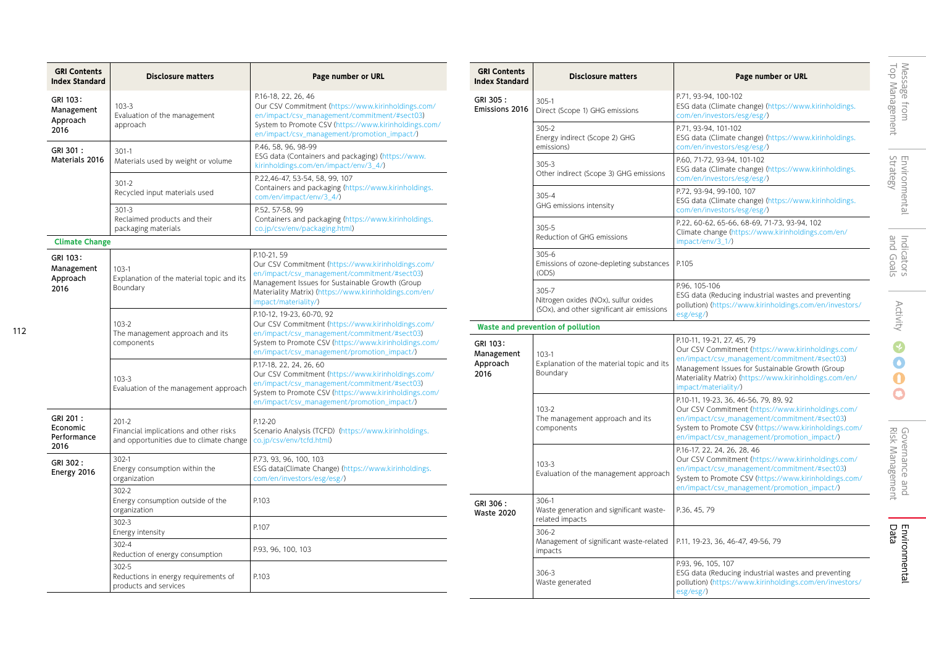| <b>GRI Contents</b><br><b>Index Standard</b>                                | <b>Disclosure matters</b>                                                                    | Page number or URL                                                                                                                                                                                                                                     |
|-----------------------------------------------------------------------------|----------------------------------------------------------------------------------------------|--------------------------------------------------------------------------------------------------------------------------------------------------------------------------------------------------------------------------------------------------------|
| GRI 103:<br>Management<br>Approach<br>2016                                  | $103 - 3$<br>Evaluation of the management<br>approach                                        | P.16-18, 22, 26, 46<br>Our CSV Commitment (https://www.kirinholdings.com/<br>en/impact/csv_management/commitment/#sect03)<br>System to Promote CSV (https://www.kirinholdings.com/<br>en/impact/csv_management/promotion_impact/)                      |
| GRI 301:<br>$301-1$<br>Materials 2016<br>Materials used by weight or volume |                                                                                              | P.46, 58, 96, 98-99<br>ESG data (Containers and packaging) (https://www.<br>kirinholdings.com/en/impact/env/3_4/)                                                                                                                                      |
|                                                                             | $301-2$<br>Recycled input materials used                                                     | P.22,46-47, 53-54, 58, 99, 107<br>Containers and packaging (https://www.kirinholdings.<br>com/en/impact/env/3_4/)                                                                                                                                      |
|                                                                             | $301 - 3$<br>Reclaimed products and their<br>packaging materials                             | P.52, 57-58, 99<br>Containers and packaging (https://www.kirinholdings.<br>co.jp/csv/env/packaging.html)                                                                                                                                               |
| <b>Climate Change</b>                                                       |                                                                                              |                                                                                                                                                                                                                                                        |
| GRI 103:<br>Management<br>Approach<br>2016                                  | $103-1$<br>Explanation of the material topic and its<br>Boundary                             | P.10-21, 59<br>Our CSV Commitment (https://www.kirinholdings.com/<br>en/impact/csv_management/commitment/#sect03)<br>Management Issues for Sustainable Growth (Group<br>Materiality Matrix) (https://www.kirinholdings.com/en/<br>impact/materiality/) |
|                                                                             | $103-2$<br>The management approach and its<br>components                                     | P.10-12, 19-23, 60-70, 92<br>Our CSV Commitment (https://www.kirinholdings.com/<br>en/impact/csv_management/commitment/#sect03)<br>System to Promote CSV (https://www.kirinholdings.com/<br>en/impact/csv_management/promotion_impact/)                |
|                                                                             | $103-3$<br>Evaluation of the management approach                                             | P.17-18, 22, 24, 26, 60<br>Our CSV Commitment (https://www.kirinholdings.com/<br>en/impact/csv_management/commitment/#sect03)<br>System to Promote CSV (https://www.kirinholdings.com/<br>en/impact/csv_management/promotion_impact/)                  |
| GRI 201:<br>Economic<br>Performance<br>2016                                 | $201-2$<br>Financial implications and other risks<br>and opportunities due to climate change | P.12-20<br>Scenario Analysis (TCFD) (https://www.kirinholdings.<br>co.jp/csv/env/tcfd.html)                                                                                                                                                            |
| GRI 302:<br>Energy 2016                                                     | 302-1<br>Energy consumption within the<br>organization                                       | P.73, 93, 96, 100, 103<br>ESG data(Climate Change) (https://www.kirinholdings.<br>com/en/investors/esg/esg/)                                                                                                                                           |
|                                                                             | 302-2<br>Energy consumption outside of the<br>organization                                   | P.103                                                                                                                                                                                                                                                  |
|                                                                             | 302-3<br>Energy intensity                                                                    | P.107                                                                                                                                                                                                                                                  |
|                                                                             | 302-4<br>Reduction of energy consumption                                                     | P.93, 96, 100, 103                                                                                                                                                                                                                                     |
|                                                                             | 302-5<br>Reductions in energy requirements of<br>products and services                       | P.103                                                                                                                                                                                                                                                  |

| <b>GRI Contents</b><br><b>Index Standard</b> | <b>Disclosure matters</b>                                                                   | Page number or URL                                                                                                                                                                                                                                                    |
|----------------------------------------------|---------------------------------------------------------------------------------------------|-----------------------------------------------------------------------------------------------------------------------------------------------------------------------------------------------------------------------------------------------------------------------|
| GRI 305:<br>Emissions 2016                   | 305-1<br>Direct (Scope 1) GHG emissions                                                     | P.71, 93-94, 100-102<br>ESG data (Climate change) (https://www.kirinholdings.<br>com/en/investors/esg/esg/)                                                                                                                                                           |
|                                              | 305-2<br>Energy indirect (Scope 2) GHG<br>emissions)                                        | P.71, 93-94, 101-102<br>ESG data (Climate change) (https://www.kirinholdings.<br>com/en/investors/esg/esg/)                                                                                                                                                           |
|                                              | 305-3<br>Other indirect (Scope 3) GHG emissions                                             | P.60, 71-72, 93-94, 101-102<br>ESG data (Climate change) (https://www.kirinholdings.<br>com/en/investors/esg/esg/)                                                                                                                                                    |
|                                              | 305-4<br>GHG emissions intensity                                                            | P.72, 93-94, 99-100, 107<br>ESG data (Climate change) (https://www.kirinholdings.<br>com/en/investors/esg/esg/)                                                                                                                                                       |
|                                              | 305-5<br>Reduction of GHG emissions                                                         | P.22, 60-62, 65-66, 68-69, 71-73, 93-94, 102<br>Climate change (https://www.kirinholdings.com/en/<br>impact/env/3_1/)                                                                                                                                                 |
|                                              | 305-6<br>Emissions of ozone-depleting substances<br>(ODS)                                   | P.105                                                                                                                                                                                                                                                                 |
|                                              | 305-7<br>Nitrogen oxides (NOx), sulfur oxides<br>(SOx), and other significant air emissions | P.96, 105-106<br>ESG data (Reducing industrial wastes and preventing<br>pollution) (https://www.kirinholdings.com/en/investors/<br>esg/esg/)                                                                                                                          |
|                                              | Waste and prevention of pollution                                                           |                                                                                                                                                                                                                                                                       |
| GRI 103:<br>Management<br>Approach<br>2016   | $103 - 1$<br>Explanation of the material topic and its<br>Boundary                          | P.10-11, 19-21, 27, 45, 79<br>Our CSV Commitment (https://www.kirinholdings.com/<br>en/impact/csv_management/commitment/#sect03)<br>Management Issues for Sustainable Growth (Group<br>Materiality Matrix) (https://www.kirinholdings.com/en/<br>impact/materiality/) |
|                                              | $103 - 2$<br>The management approach and its<br>components                                  | P.10-11, 19-23, 36, 46-56, 79, 89, 92<br>Our CSV Commitment (https://www.kirinholdings.com/<br>en/impact/csv_management/commitment/#sect03)<br>System to Promote CSV (https://www.kirinholdings.com/<br>en/impact/csv_management/promotion_impact/)                   |
|                                              | $103 - 3$<br>Evaluation of the management approach                                          | P.16-17, 22, 24, 26, 28, 46<br>Our CSV Commitment (https://www.kirinholdings.com/<br>en/impact/csv_management/commitment/#sect03)<br>System to Promote CSV (https://www.kirinholdings.com/<br>en/impact/csv_management/promotion_impact/)                             |
| GRI 306:<br><b>Waste 2020</b>                | 306-1<br>Waste generation and significant waste-<br>related impacts                         | P.36, 45, 79                                                                                                                                                                                                                                                          |
|                                              | 306-2<br>Management of significant waste-related<br>impacts                                 | P.11, 19-23, 36, 46-47, 49-56, 79                                                                                                                                                                                                                                     |
|                                              | 306-3<br>Waste generated                                                                    | P.93, 96, 105, 107<br>ESG data (Reducing industrial wastes and preventing<br>pollution) (https://www.kirinholdings.com/en/investors/<br>esg/esg/)                                                                                                                     |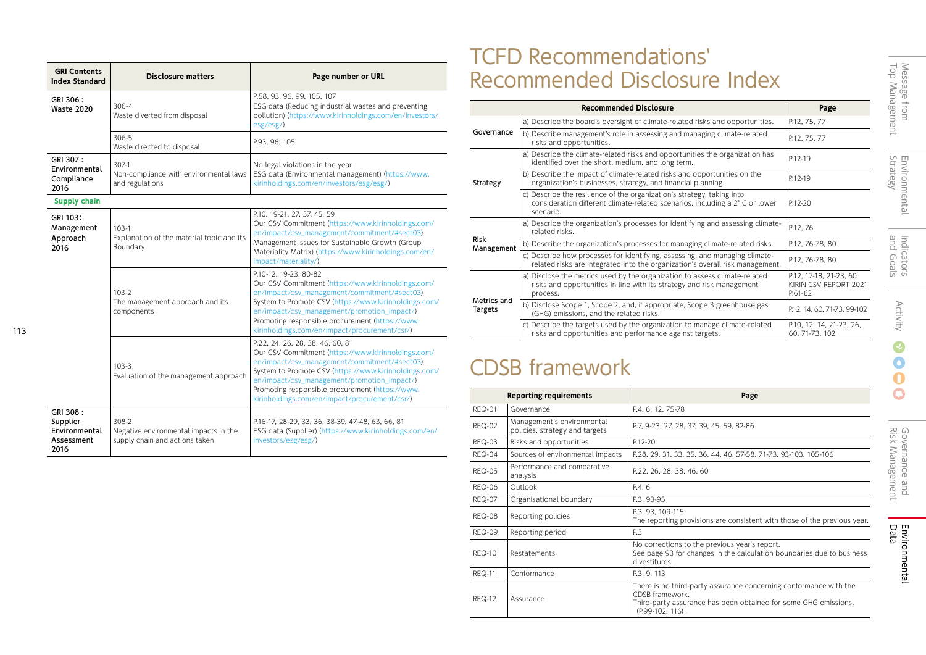| <b>GRI Contents</b><br><b>Index Standard</b>                                                                          | <b>Disclosure matters</b>                                                        | Page number or URL                                                                                                                                                                                                                                                                                                                                 |
|-----------------------------------------------------------------------------------------------------------------------|----------------------------------------------------------------------------------|----------------------------------------------------------------------------------------------------------------------------------------------------------------------------------------------------------------------------------------------------------------------------------------------------------------------------------------------------|
| GRI 306:<br><b>Waste 2020</b>                                                                                         | $306 - 4$<br>Waste diverted from disposal                                        | P.58, 93, 96, 99, 105, 107<br>ESG data (Reducing industrial wastes and preventing<br>pollution) (https://www.kirinholdings.com/en/investors/<br>esg/esg/)                                                                                                                                                                                          |
|                                                                                                                       | 306-5<br>Waste directed to disposal                                              | P.93, 96, 105                                                                                                                                                                                                                                                                                                                                      |
| GRI 307:<br>307-1<br>Environmental<br>Non-compliance with environmental laws<br>Compliance<br>and regulations<br>2016 |                                                                                  | No legal violations in the year<br>ESG data (Environmental management) (https://www.<br>kirinholdings.com/en/investors/esg/esg/)                                                                                                                                                                                                                   |
| <b>Supply chain</b>                                                                                                   |                                                                                  |                                                                                                                                                                                                                                                                                                                                                    |
| GRI 103:<br>Management<br>Approach<br>2016                                                                            | $103-1$<br>Explanation of the material topic and its<br>Boundary                 | P.10, 19-21, 27, 37, 45, 59<br>Our CSV Commitment (https://www.kirinholdings.com/<br>en/impact/csv_management/commitment/#sect03)<br>Management Issues for Sustainable Growth (Group<br>Materiality Matrix) (https://www.kirinholdings.com/en/<br>impact/materiality/)                                                                             |
|                                                                                                                       | 103-2<br>The management approach and its<br>components                           | P.10-12, 19-23, 80-82<br>Our CSV Commitment (https://www.kirinholdings.com/<br>en/impact/csv_management/commitment/#sect03)<br>System to Promote CSV (https://www.kirinholdings.com/<br>en/impact/csv_management/promotion_impact/)<br>Promoting responsible procurement (https://www.<br>kirinholdings.com/en/impact/procurement/csr/)            |
|                                                                                                                       | $103-3$<br>Evaluation of the management approach                                 | P.22, 24, 26, 28, 38, 46, 60, 81<br>Our CSV Commitment (https://www.kirinholdings.com/<br>en/impact/csv_management/commitment/#sect03)<br>System to Promote CSV (https://www.kirinholdings.com/<br>en/impact/csv_management/promotion_impact/)<br>Promoting responsible procurement (https://www.<br>kirinholdings.com/en/impact/procurement/csr/) |
| GRI 308:<br>Supplier<br>Environmental<br>Assessment<br>2016                                                           | 308-2<br>Negative environmental impacts in the<br>supply chain and actions taken | P.16-17, 28-29, 33, 36, 38-39, 47-48, 63, 66, 81<br>ESG data (Supplier) (https://www.kirinholdings.com/en/<br>investors/esg/esg/)                                                                                                                                                                                                                  |

113

# TCFD Recommendations' Recommended Disclosure Index

|                        | <b>Recommended Disclosure</b>                                                                                                                                       | Page                                                       |
|------------------------|---------------------------------------------------------------------------------------------------------------------------------------------------------------------|------------------------------------------------------------|
| Governance             | a) Describe the board's oversight of climate-related risks and opportunities.                                                                                       | P.12, 75, 77                                               |
|                        | b) Describe management's role in assessing and managing climate-related<br>risks and opportunities.                                                                 | P.12, 75, 77                                               |
| Strategy               | a) Describe the climate-related risks and opportunities the organization has<br>identified over the short, medium, and long term.                                   | P.12-19                                                    |
|                        | b) Describe the impact of climate-related risks and opportunities on the<br>organization's businesses, strategy, and financial planning.                            | P.12-19                                                    |
|                        | c) Describe the resilience of the organization's strategy, taking into<br>consideration different climate-related scenarios, including a 2° C or lower<br>scenario. | P.12-20                                                    |
| Risk<br>Management     | a) Describe the organization's processes for identifying and assessing climate-<br>related risks.                                                                   | P.12, 76                                                   |
|                        | b) Describe the organization's processes for managing climate-related risks.                                                                                        | P.12, 76-78, 80                                            |
|                        | c) Describe how processes for identifying, assessing, and managing climate-<br>related risks are integrated into the organization's overall risk management.        | P.12, 76-78, 80                                            |
| Metrics and<br>Targets | a) Disclose the metrics used by the organization to assess climate-related<br>risks and opportunities in line with its strategy and risk management<br>process.     | P.12, 17-18, 21-23, 60<br>KIRIN CSV REPORT 2021<br>P.61-62 |
|                        | b) Disclose Scope 1, Scope 2, and, if appropriate, Scope 3 greenhouse gas<br>(GHG) emissions, and the related risks.                                                | P.12, 14, 60, 71-73, 99-102                                |
|                        | c) Describe the targets used by the organization to manage climate-related<br>risks and opportunities and performance against targets.                              | P.10, 12, 14, 21-23, 26,<br>60, 71-73, 102                 |

# CDSB framework

|               | <b>Reporting requirements</b>                                | Page                                                                                                                                                                        |
|---------------|--------------------------------------------------------------|-----------------------------------------------------------------------------------------------------------------------------------------------------------------------------|
| <b>REQ-01</b> | Governance                                                   | P.4, 6, 12, 75-78                                                                                                                                                           |
| <b>REQ-02</b> | Management's environmental<br>policies, strategy and targets | P.7, 9-23, 27, 28, 37, 39, 45, 59, 82-86                                                                                                                                    |
| REQ-03        | Risks and opportunities                                      | P.12-20                                                                                                                                                                     |
| REQ-04        | Sources of environmental impacts                             | P.28, 29, 31, 33, 35, 36, 44, 46, 57-58, 71-73, 93-103, 105-106                                                                                                             |
| <b>REQ-05</b> | Performance and comparative<br>analysis                      | P.22, 26, 28, 38, 46, 60                                                                                                                                                    |
| REQ-06        | Outlook                                                      | P.4, 6                                                                                                                                                                      |
| <b>REQ-07</b> | Organisational boundary                                      | P.3, 93-95                                                                                                                                                                  |
| <b>REQ-08</b> | Reporting policies                                           | P.3. 93. 109-115<br>The reporting provisions are consistent with those of the previous year.                                                                                |
| <b>REQ-09</b> | Reporting period                                             | P.3                                                                                                                                                                         |
| <b>REQ-10</b> | Restatements                                                 | No corrections to the previous year's report.<br>See page 93 for changes in the calculation boundaries due to business<br>divestitures.                                     |
| <b>REQ-11</b> | Conformance                                                  | P.3, 9, 113                                                                                                                                                                 |
| <b>REQ-12</b> | Assurance                                                    | There is no third-party assurance concerning conformance with the<br>CDSB framework.<br>Third-party assurance has been obtained for some GHG emissions.<br>(P.99-102, 116). |

 $\overline{O}$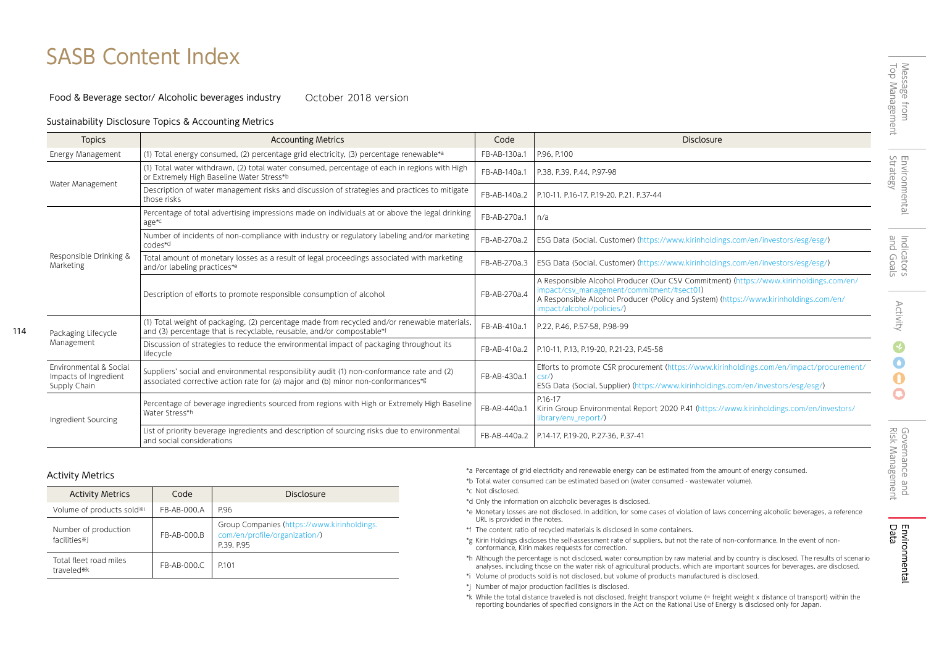# SASB Content Index

#### Food & Beverage sector/ Alcoholic beverages industry October 2018 version

## Sustainability Disclosure Topics & Accounting Metrics

| <b>Topics</b>                                                              | <b>Accounting Metrics</b>                                                                                                                                                     | Code         | <b>Disclosure</b>                                                                                                                                                                                                                                         |
|----------------------------------------------------------------------------|-------------------------------------------------------------------------------------------------------------------------------------------------------------------------------|--------------|-----------------------------------------------------------------------------------------------------------------------------------------------------------------------------------------------------------------------------------------------------------|
| Energy Management                                                          | (1) Total energy consumed, (2) percentage grid electricity, (3) percentage renewable*a                                                                                        | FB-AB-130a.1 | P.96, P.100                                                                                                                                                                                                                                               |
| Water Management                                                           | (1) Total water withdrawn, (2) total water consumed, percentage of each in regions with High<br>or Extremely High Baseline Water Stress*b                                     | FB-AB-140a.1 | P.38, P.39, P.44, P.97-98                                                                                                                                                                                                                                 |
|                                                                            | Description of water management risks and discussion of strategies and practices to mitigate<br>those risks                                                                   | FB-AB-140a.2 | P.10-11, P.16-17, P.19-20, P.21, P.37-44                                                                                                                                                                                                                  |
| Responsible Drinking &<br>Marketing                                        | Percentage of total advertising impressions made on individuals at or above the legal drinking<br>age <sup>*c</sup>                                                           | FB-AB-270a.1 | n/a                                                                                                                                                                                                                                                       |
|                                                                            | Number of incidents of non-compliance with industry or regulatory labeling and/or marketing<br>codes*d                                                                        | FB-AB-270a.2 | ESG Data (Social, Customer) (https://www.kirinholdings.com/en/investors/esg/esg/)                                                                                                                                                                         |
|                                                                            | Total amount of monetary losses as a result of legal proceedings associated with marketing<br>and/or labeling practices*e                                                     | FB-AB-270a.3 | ESG Data (Social, Customer) (https://www.kirinholdings.com/en/investors/esg/esg/)                                                                                                                                                                         |
|                                                                            | Description of efforts to promote responsible consumption of alcohol                                                                                                          | FB-AB-270a.4 | A Responsible Alcohol Producer (Our CSV Commitment) (https://www.kirinholdings.com/en/<br>impact/csv_management/commitment/#sect01)<br>A Responsible Alcohol Producer (Policy and System) (https://www.kirinholdings.com/en/<br>impact/alcohol/policies/) |
| Packaging Lifecycle                                                        | (1) Total weight of packaging, (2) percentage made from recycled and/or renewable materials,<br>and (3) percentage that is recyclable, reusable, and/or compostable*f         | FB-AB-410a.1 | P.22, P.46, P.57-58, P.98-99                                                                                                                                                                                                                              |
| Management                                                                 | Discussion of strategies to reduce the environmental impact of packaging throughout its<br>lifecycle                                                                          | FB-AB-410a.2 | P.10-11, P.13, P.19-20, P.21-23, P.45-58                                                                                                                                                                                                                  |
| <b>Environmental &amp; Social</b><br>Impacts of Ingredient<br>Supply Chain | Suppliers' social and environmental responsibility audit (1) non-conformance rate and (2)<br>associated corrective action rate for (a) major and (b) minor non-conformances*g | FB-AB-430a.1 | Efforts to promote CSR procurement (https://www.kirinholdings.com/en/impact/procurement/<br>csr/)<br>ESG Data (Social, Supplier) (https://www.kirinholdings.com/en/investors/esg/esg/)                                                                    |
| Ingredient Sourcing                                                        | Percentage of beverage ingredients sourced from regions with High or Extremely High Baseline<br>Water Stress*h                                                                | FB-AB-440a.1 | P.16-17<br>Kirin Group Environmental Report 2020 P.41 (https://www.kirinholdings.com/en/investors/<br>library/env_report/)                                                                                                                                |
|                                                                            | List of priority beverage ingredients and description of sourcing risks due to environmental<br>and social considerations                                                     | FB-AB-440a.2 | P.14-17, P.19-20, P.27-36, P.37-41                                                                                                                                                                                                                        |

114

| <b>Activity Metrics</b>              | Code        | Disclosure                                                                                 |
|--------------------------------------|-------------|--------------------------------------------------------------------------------------------|
| Volume of products sold*i            | FB-AB-000.A | P.96                                                                                       |
| Number of production<br>facilities*i | FB-AB-000.B | Group Companies (https://www.kirinholdings.<br>com/en/profile/organization/)<br>P.39, P.95 |
| Total fleet road miles<br>traveled*k | FB-AB-000.C | P <sub>101</sub>                                                                           |

\*a Percentage of grid electricity and renewable energy can be estimated from the amount of energy consumed.

- \*b Total water consumed can be estimated based on (water consumed wastewater volume).
- \*c Not disclosed.
- \*d Only the information on alcoholic beverages is disclosed.
- \*e Monetary losses are not disclosed. In addition, for some cases of violation of laws concerning alcoholic beverages, a reference URL is provided in the notes.
- \*f The content ratio of recycled materials is disclosed in some containers.
- \*g Kirin Holdings discloses the self-assessment rate of suppliers, but not the rate of non-conformance. In the event of nonconformance, Kirin makes requests for correction.
- \*h Although the percentage is not disclosed, water consumption by raw material and by country is disclosed. The results of scenario analyses, including those on the water risk of agricultural products, which are important sources for beverages, are disclosed.
- \*i Volume of products sold is not disclosed, but volume of products manufactured is disclosed.
- \*j Number of major production facilities is disclosed.
- \*k While the total distance traveled is not disclosed, freight transport volume (= freight weight x distance of transport) within the reporting boundaries of specified consignors in the Act on the Rational Use of Energy is disclosed only for Japan.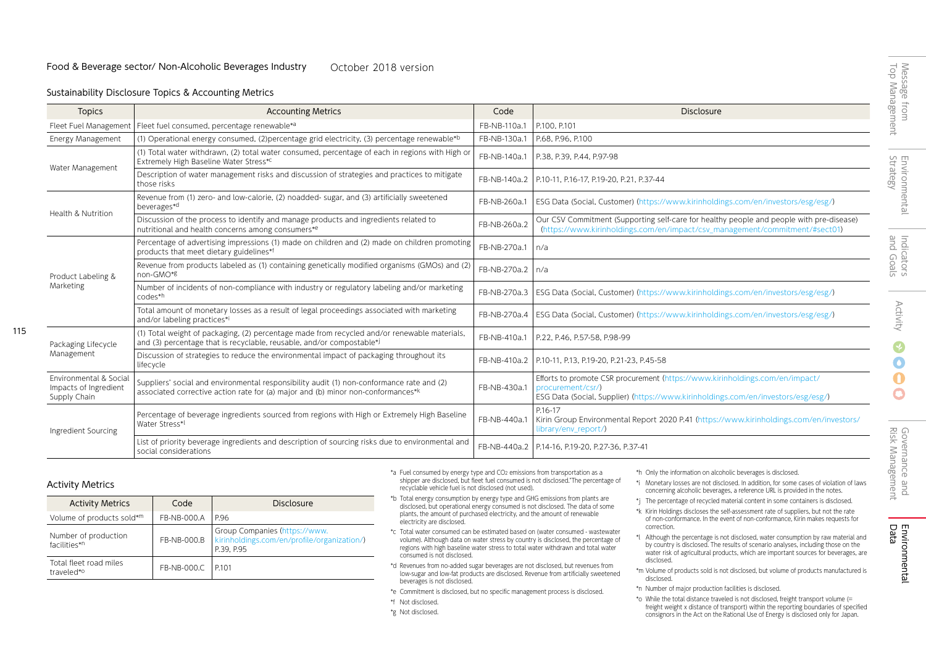## Sustainability Disclosure Topics & Accounting Metrics

| <b>Topics</b>                                                   | <b>Accounting Metrics</b>                                                                                                                                                     | Code         | <b>Disclosure</b>                                                                                                                                                                      |
|-----------------------------------------------------------------|-------------------------------------------------------------------------------------------------------------------------------------------------------------------------------|--------------|----------------------------------------------------------------------------------------------------------------------------------------------------------------------------------------|
| Fleet Fuel Management                                           | Fleet fuel consumed, percentage renewable*a                                                                                                                                   | FB-NB-110a.1 | P.100, P.101                                                                                                                                                                           |
| Energy Management                                               | (1) Operational energy consumed, (2) percentage grid electricity, (3) percentage renewable*b                                                                                  | FB-NB-130a.1 | P.68, P.96, P.100                                                                                                                                                                      |
| Water Management                                                | (1) Total water withdrawn, (2) total water consumed, percentage of each in regions with High or<br>Extremely High Baseline Water Stress*C                                     | FB-NB-140a.1 | P.38, P.39, P.44, P.97-98                                                                                                                                                              |
|                                                                 | Description of water management risks and discussion of strategies and practices to mitigate<br>those risks                                                                   | FB-NB-140a.2 | P.10-11, P.16-17, P.19-20, P.21, P.37-44                                                                                                                                               |
| Health & Nutrition                                              | Revenue from (1) zero- and low-calorie, (2) noadded- sugar, and (3) artificially sweetened<br>beverages*d                                                                     | FB-NB-260a.1 | ESG Data (Social, Customer) (https://www.kirinholdings.com/en/investors/esg/esg/)                                                                                                      |
|                                                                 | Discussion of the process to identify and manage products and ingredients related to<br>nutritional and health concerns among consumers*e                                     | FB-NB-260a.2 | Our CSV Commitment (Supporting self-care for healthy people and people with pre-disease)<br>(https://www.kirinholdings.com/en/impact/csv_management/commitment/#sect01)                |
| Product Labeling &<br>Marketing                                 | Percentage of advertising impressions (1) made on children and (2) made on children promoting<br>products that meet dietary guidelines*f                                      | FB-NB-270a.1 | n/a                                                                                                                                                                                    |
|                                                                 | Revenue from products labeled as (1) containing genetically modified organisms (GMOs) and (2)<br>non-GMO*8                                                                    | FB-NB-270a.2 | n/a                                                                                                                                                                                    |
|                                                                 | Number of incidents of non-compliance with industry or regulatory labeling and/or marketing<br>codes*h                                                                        | FB-NB-270a.3 | ESG Data (Social, Customer) (https://www.kirinholdings.com/en/investors/esg/esg/)                                                                                                      |
|                                                                 | Total amount of monetary losses as a result of legal proceedings associated with marketing<br>and/or labeling practices*i                                                     | FB-NB-270a.4 | ESG Data (Social, Customer) (https://www.kirinholdings.com/en/investors/esg/esg/)                                                                                                      |
| Packaging Lifecycle<br>Management                               | (1) Total weight of packaging, (2) percentage made from recycled and/or renewable materials,<br>and (3) percentage that is recyclable, reusable, and/or compostable*i         | FB-NB-410a.1 | P.22, P.46, P.57-58, P.98-99                                                                                                                                                           |
|                                                                 | Discussion of strategies to reduce the environmental impact of packaging throughout its<br>lifecycle                                                                          | FB-NB-410a.2 | P.10-11, P.13, P.19-20, P.21-23, P.45-58                                                                                                                                               |
| Environmental & Social<br>Impacts of Ingredient<br>Supply Chain | Suppliers' social and environmental responsibility audit (1) non-conformance rate and (2)<br>associated corrective action rate for (a) major and (b) minor non-conformances*k | FB-NB-430a.1 | Efforts to promote CSR procurement (https://www.kirinholdings.com/en/impact/<br>procurement/csr/)<br>ESG Data (Social, Supplier) (https://www.kirinholdings.com/en/investors/esg/esg/) |
| Ingredient Sourcing                                             | Percentage of beverage ingredients sourced from regions with High or Extremely High Baseline<br>Water Stress*                                                                 | FB-NB-440a.1 | P.16-17<br>Kirin Group Environmental Report 2020 P.41 (https://www.kirinholdings.com/en/investors/<br>library/env_report/)                                                             |
|                                                                 | List of priority beverage ingredients and description of sourcing risks due to environmental and<br>social considerations                                                     | FB-NB-440a.2 | P.14-16, P.19-20, P.27-36, P.37-41                                                                                                                                                     |

## Activity Metrics

115

| <b>Activity Metrics</b>                          | Code        | Disclosure                                                                                 |  |
|--------------------------------------------------|-------------|--------------------------------------------------------------------------------------------|--|
| Volume of products sold*m                        | FB-NB-000.A | P.96                                                                                       |  |
| Number of production<br>facilities* <sup>n</sup> | FB-NB-000.B | Group Companies (https://www.<br>kirinholdings.com/en/profile/organization/)<br>P.39, P.95 |  |
| Total fleet road miles<br>traveled* <sup>o</sup> | FB-NB-000.C | IP101                                                                                      |  |

- \*a Fuel consumed by energy type and CO2 emissions from transportation as a shipper are disclosed, but fleet fuel consumed is not disclosed."The percentage of recyclable vehicle fuel is not disclosed (not used).
- \*b Total energy consumption by energy type and GHG emissions from plants are disclosed, but operational energy consumed is not disclosed. The data of some plants, the amount of purchased electricity, and the amount of renewable electricity are disclosed.
- \*c Total water consumed can be estimated based on (water consumed wastewater volume). Although data on water stress by country is disclosed, the percentage of regions with high baseline water stress to total water withdrawn and total water consumed is not disclosed.
- \*d Revenues from no-added sugar beverages are not disclosed, but revenues from low-sugar and low-fat products are disclosed. Revenue from artificially sweetened beverages is not disclosed.
- \*e Commitment is disclosed, but no specific management process is disclosed.
- \*f Not disclosed.
- \*g Not disclosed.
- \*h Only the information on alcoholic beverages is disclosed.
- \*i Monetary losses are not disclosed. In addition, for some cases of violation of laws concerning alcoholic beverages, a reference URL is provided in the notes.
- \*j The percentage of recycled material content in some containers is disclosed.
- \*k Kirin Holdings discloses the self-assessment rate of suppliers, but not the rate of non-conformance. In the event of non-conformance, Kirin makes requests for correction.
- \*l Although the percentage is not disclosed, water consumption by raw material and by country is disclosed. The results of scenario analyses, including those on the water risk of agricultural products, which are important sources for beverages, are disclosed.
- \*m Volume of products sold is not disclosed, but volume of products manufactured is disclosed.
- \*n Number of major production facilities is disclosed.
- \*o While the total distance traveled is not disclosed, freight transport volume (= freight weight x distance of transport) within the reporting boundaries of specified consignors in the Act on the Rational Use of Energy is disclosed only for Japan.

O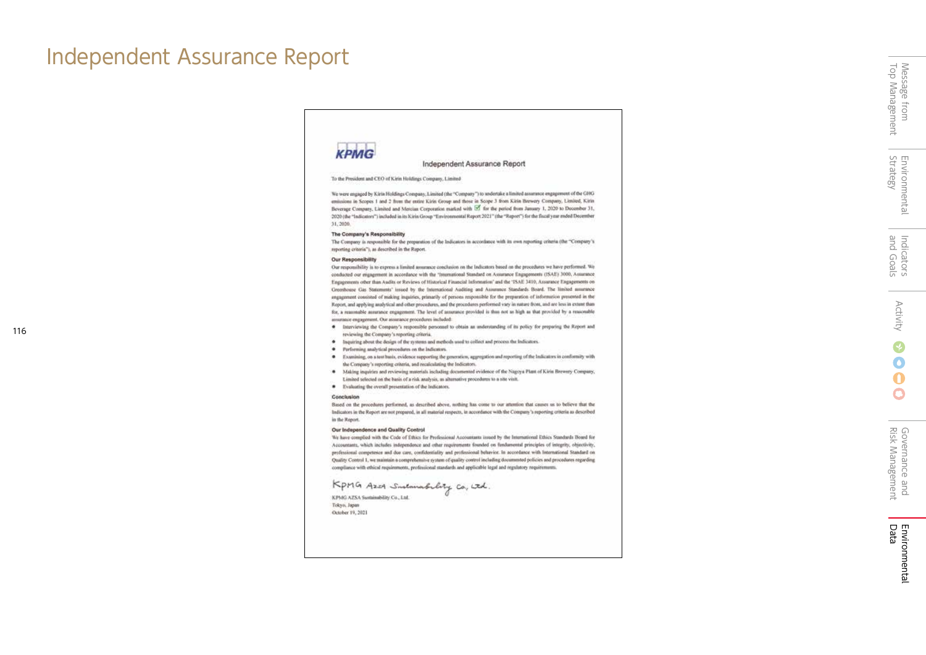# Independent Assurance Report

116

# **KPMG**

Independent Assurance Report

To the President and CEO of Kirin Holdings Company, Limited

We were engaged by Kirin Holdings Company, Limited (the "Company") to undertake a limited assurance engagement of the CHG emissions in Scopes 1 and 2 from the entire Kirin Group and those in Scope 3 from Kirin Brewery Company, Limited, Kirin Beverage Company, Limited and Mercian Corporation marked with Ef for the period from January 1, 2020 to December 31, 2020 (the "Indicators") included in its Kirin Group "Environmental Report 2021" (the "Report") for the fiscal year ended December 11,2020.

#### The Company's Responsibility

The Company is responsible for the preparation of the Indicators in accordance with its own reporting criteria (the "Company's reporting criteria"), as described in the Report.

#### Our Responsibility

Our responsibility is to express a limited assurance conclusion on the indicators based on the procedures we have performed. We conducted our engagement in accordance with the 'International Standard on Assurance Engagements (ISAE) 3000, Assurance Engagements other than Audits or Reviews of Historical Financial Information' and the 'ISAE 3410, Assurance Engagements on Greenhouse Gas Statements' issued by the International Auditing and Assummer Standards Board. The limited assurance engagement consisted of making inquiries, erimarily of persons responsible for the preparation of information presented in the Report, and applying analytical and other procedures, and the procedures performed vary in nature from, and are less in extent than for, a reanonable assurance engagement. The level of assurance provided is thus not as high as that provided by a reasonable assurance entrannum). Our assurance procedures included:

- · Interviewing the Company's responsible personnel to obtain an understanding of its policy for preparing the Report and reviewing the Company's reporting oriteria.
- · Inquiring about the design of the systems and methods used to collect and process the Indicators.
- · Performing analytical procedures on the Indicators.
- · Examining, on a test basis, evidence supporting the generation, aggregation and reporting of the Indicators in conformity with the Company's reporting criteria, and recalculating the Indicators.
- \* Making inquiries and reviewing materials including documented evidence of the Nagoya Plant of Kirin Brewery Company, Limited selected on the basis of a risk analysis, as alternative procedures to a site visit.
- · Evaluating the overall presentation of the Indicators.

#### Conclusion

Sued on the procedures performed, as described above, nothing has come to our attention that causes us to believe that the Indicators in the Report are not prepared, in all material respects, in accordance with the Company's reporting criteria as described in the Report.

#### Our Independence and Quality Control

We have complied with the Code of Ethics for Professional Accountants insued by the International Ethics Standards Board for Accountants, which includes independence and other requirements founded on fundamental principles of integrity, objectivity, professional competence and doe care, confidentiality and professional behavior. In accordance with international Standard on Quality Control 1, we maintain a comprehensive system of quality control including documented policies and procedures regarding compliance with ethical requirements, professional standards and applicable legal and regulatory requirements.

# KpMG Azor Sustanabelity Co, itd.

KPMG AZSA Sustainability Co., Ltd. Tokyo, Japan October 19, 2021